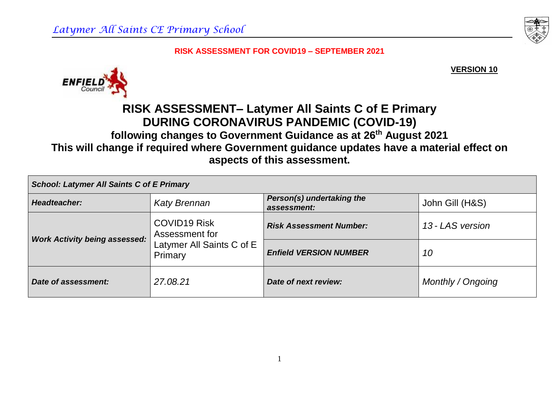**VERSION 10**



# **RISK ASSESSMENT– Latymer All Saints C of E Primary DURING CORONAVIRUS PANDEMIC (COVID-19)**

## **following changes to Government Guidance as at 26th August 2021 This will change if required where Government guidance updates have a material effect on aspects of this assessment.**

| <b>School: Latymer All Saints C of E Primary</b> |                                                                               |                                          |                   |  |  |
|--------------------------------------------------|-------------------------------------------------------------------------------|------------------------------------------|-------------------|--|--|
| Headteacher:                                     | <b>Katy Brennan</b>                                                           | Person(s) undertaking the<br>assessment: | John Gill (H&S)   |  |  |
| <b>Work Activity being assessed:</b>             | <b>COVID19 Risk</b><br>Assessment for<br>Latymer All Saints C of E<br>Primary | <b>Risk Assessment Number:</b>           | 13 - LAS version  |  |  |
|                                                  |                                                                               | <b>Enfield VERSION NUMBER</b>            | 10                |  |  |
| Date of assessment:                              | 27.08.21                                                                      | Date of next review:                     | Monthly / Ongoing |  |  |

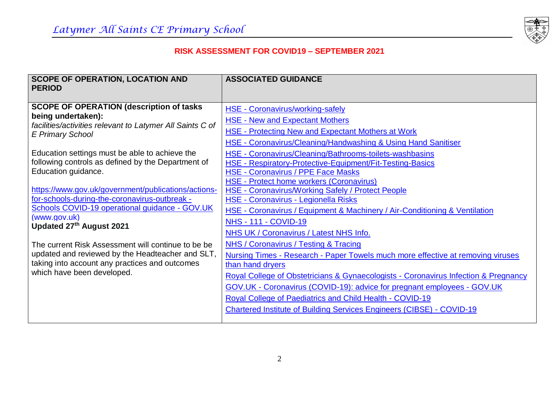

| <b>SCOPE OF OPERATION, LOCATION AND</b><br><b>PERIOD</b>                                                                                                                                                                                                                                                                                                                                                                                                                                                                                                                                                      | <b>ASSOCIATED GUIDANCE</b>                                                                                                                                                                                                                                                                                                                                                                                                                                                                                                                                                                                                                                                                                                                                                                                                                                   |
|---------------------------------------------------------------------------------------------------------------------------------------------------------------------------------------------------------------------------------------------------------------------------------------------------------------------------------------------------------------------------------------------------------------------------------------------------------------------------------------------------------------------------------------------------------------------------------------------------------------|--------------------------------------------------------------------------------------------------------------------------------------------------------------------------------------------------------------------------------------------------------------------------------------------------------------------------------------------------------------------------------------------------------------------------------------------------------------------------------------------------------------------------------------------------------------------------------------------------------------------------------------------------------------------------------------------------------------------------------------------------------------------------------------------------------------------------------------------------------------|
| <b>SCOPE OF OPERATION (description of tasks)</b><br>being undertaken):<br>facilities/activities relevant to Latymer All Saints C of<br><b>E Primary School</b><br>Education settings must be able to achieve the<br>following controls as defined by the Department of<br>Education guidance.<br>https://www.gov.uk/government/publications/actions-<br>for-schools-during-the-coronavirus-outbreak -<br>Schools COVID-19 operational guidance - GOV.UK<br>(www.gov.uk)<br>Updated 27th August 2021<br>The current Risk Assessment will continue to be be<br>updated and reviewed by the Headteacher and SLT, | <b>HSE - Coronavirus/working-safely</b><br><b>HSE - New and Expectant Mothers</b><br><b>HSE - Protecting New and Expectant Mothers at Work</b><br><b>HSE - Coronavirus/Cleaning/Handwashing &amp; Using Hand Sanitiser</b><br>HSE - Coronavirus/Cleaning/Bathrooms-toilets-washbasins<br><b>HSE - Respiratory-Protective-Equipment/Fit-Testing-Basics</b><br><b>HSE - Coronavirus / PPE Face Masks</b><br><b>HSE - Protect home workers (Coronavirus)</b><br><b>HSE - Coronavirus/Working Safely / Protect People</b><br>HSE - Coronavirus - Legionella Risks<br>HSE - Coronavirus / Equipment & Machinery / Air-Conditioning & Ventilation<br><b>NHS - 111 - COVID-19</b><br>NHS UK / Coronavirus / Latest NHS Info.<br><b>NHS / Coronavirus / Testing &amp; Tracing</b><br>Nursing Times - Research - Paper Towels much more effective at removing viruses |
| taking into account any practices and outcomes<br>which have been developed.                                                                                                                                                                                                                                                                                                                                                                                                                                                                                                                                  | than hand dryers<br>Royal College of Obstetricians & Gynaecologists - Coronavirus Infection & Pregnancy<br>GOV.UK - Coronavirus (COVID-19): advice for pregnant employees - GOV.UK<br><b>Royal College of Paediatrics and Child Health - COVID-19</b><br><b>Chartered Institute of Building Services Engineers (CIBSE) - COVID-19</b>                                                                                                                                                                                                                                                                                                                                                                                                                                                                                                                        |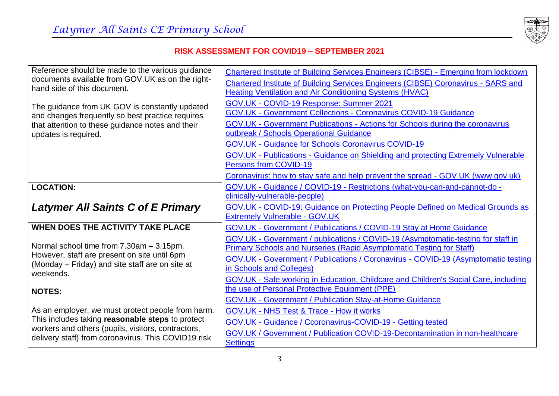

| Reference should be made to the various guidance                                                | <b>Chartered Institute of Building Services Engineers (CIBSE) - Emerging from lockdown</b> |
|-------------------------------------------------------------------------------------------------|--------------------------------------------------------------------------------------------|
| documents available from GOV.UK as on the right-                                                | <b>Chartered Institute of Building Services Engineers (CIBSE) Coronavirus - SARS and</b>   |
| hand side of this document.                                                                     | <b>Heating Ventilation and Air Conditioning Systems (HVAC)</b>                             |
| The guidance from UK GOV is constantly updated                                                  | GOV.UK - COVID-19 Response: Summer 2021                                                    |
| and changes frequently so best practice requires                                                | <b>GOV.UK - Government Collections - Coronavirus COVID-19 Guidance</b>                     |
| that attention to these guidance notes and their                                                | GOV.UK - Government Publications - Actions for Schools during the coronavirus              |
| updates is required.                                                                            | outbreak / Schools Operational Guidance                                                    |
|                                                                                                 | <b>GOV.UK - Guidance for Schools Coronavirus COVID-19</b>                                  |
|                                                                                                 | <b>GOV.UK - Publications - Guidance on Shielding and protecting Extremely Vulnerable</b>   |
|                                                                                                 | Persons from COVID-19                                                                      |
|                                                                                                 | Coronavirus: how to stay safe and help prevent the spread - GOV.UK (www.gov.uk)            |
| <b>LOCATION:</b>                                                                                | GOV.UK - Guidance / COVID-19 - Restrictions (what-you-can-and-cannot-do -                  |
|                                                                                                 | clinically-vulnerable-people)                                                              |
| <b>Latymer All Saints C of E Primary</b>                                                        | GOV.UK - COVID-19: Guidance on Protecting People Defined on Medical Grounds as             |
|                                                                                                 | <b>Extremely Vulnerable - GOV.UK</b>                                                       |
| <b>WHEN DOES THE ACTIVITY TAKE PLACE</b>                                                        | GOV.UK - Government / Publications / COVID-19 Stay at Home Guidance                        |
|                                                                                                 | GOV.UK - Government / publications / COVID-19 (Asymptomatic-testing for staff in           |
| Normal school time from 7.30am - 3.15pm.                                                        | <b>Primary Schools and Nurseries (Rapid Asymptomatic Testing for Staff)</b>                |
| However, staff are present on site until 6pm<br>(Monday – Friday) and site staff are on site at | GOV.UK - Government / Publications / Coronavirus - COVID-19 (Asymptomatic testing          |
| weekends.                                                                                       | in Schools and Colleges)                                                                   |
|                                                                                                 | GOV.UK - Safe working in Education, Childcare and Children's Social Care, including        |
| <b>NOTES:</b>                                                                                   | the use of Personal Protective Equipment (PPE)                                             |
|                                                                                                 | <b>GOV.UK - Government / Publication Stay-at-Home Guidance</b>                             |
| As an employer, we must protect people from harm.                                               | <b>GOV.UK - NHS Test &amp; Trace - How it works</b>                                        |
| This includes taking reasonable steps to protect                                                | GOV.UK - Guidance / Ccoronavirus-COVID-19 - Getting tested                                 |
| workers and others (pupils, visitors, contractors,                                              | GOV.UK / Government / Publication COVID-19-Decontamination in non-healthcare               |
| delivery staff) from coronavirus. This COVID19 risk                                             | <b>Settings</b>                                                                            |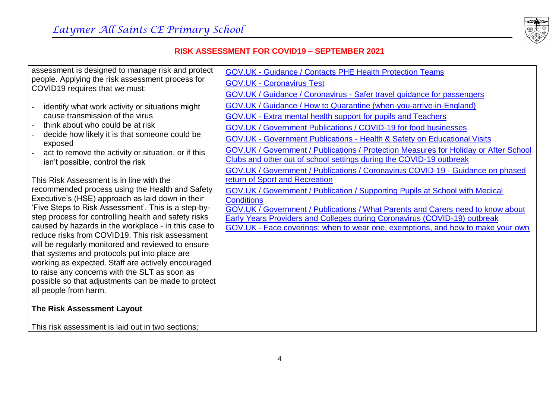

assessment is designed to manage risk and protect people. Applying the risk assessment process for COVID19 requires that we must:

- identify what work activity or situations might cause transmission of the virus
- think about who could be at risk
- decide how likely it is that someone could be exposed
- act to remove the activity or situation, or if this isn't possible, control the risk

This Risk Assessment is in line with the recommended process using the Health and Safety Executive's (HSE) approach as laid down in their 'Five Steps to Risk Assessment'. This is a step-bystep process for controlling health and safety risks caused by hazards in the workplace - in this case to reduce risks from COVID19. This risk assessment will be regularly monitored and reviewed to ensure that systems and protocols put into place are working as expected. Staff are actively encouraged to raise any concerns with the SLT as soon as possible so that adjustments can be made to protect all people from harm.

## **The Risk Assessment Layout**

This risk assessment is laid out in two sections;

GOV.UK - [Guidance / Contacts PHE Health Protection Teams](https://www.gov.uk/guidance/contacts-phe-health-protection-teams)

GOV.UK - [Coronavirus Test](https://www.gov.uk/get-coronavirus-test)

GOV.UK / Guidance / Coronavirus - [Safer travel guidance for passengers](https://www.gov.uk/guidance/coronavirus-covid-19-safer-travel-guidance-for-passengers)

[GOV.UK / Guidance / How to Quarantine \(when-you-arrive-in-England\)](https://www.gov.uk/guidance/how-to-quarantine-when-you-arrive-in-england)

GOV.UK - [Extra mental health support for pupils and Teachers](https://www.gov.uk/government/news/extra-mental-health-support-for-pupils-and-teachers)

[GOV.UK / Government Publications / COVID-19 for food businesses](https://www.gov.uk/government/publications/covid-19-guidance-for-food-businesses/guidance-for-food-businesses-on-coronavirus-covid-19) 

GOV.UK - Government Publications - [Health & Safety on Educational Visits](https://www.gov.uk/government/publications/health-and-safety-on-educational-visits/health-and-safety-on-educational-visits)

[GOV.UK / Government / Publications / Protection Measures for Holiday or After School](https://www.gov.uk/government/publications/protective-measures-for-holiday-or-after-school-clubs-and-other-out-of-school-settings-for-children-during-the-coronavirus-covid-19-outbreak/protective-measures-for-out-of-school-settings-during-the-coronavirus-covid-19-outbreak)  [Clubs and other out of school settings during the COVID-19 outbreak](https://www.gov.uk/government/publications/protective-measures-for-holiday-or-after-school-clubs-and-other-out-of-school-settings-for-children-during-the-coronavirus-covid-19-outbreak/protective-measures-for-out-of-school-settings-during-the-coronavirus-covid-19-outbreak)

[GOV.UK / Government / Publications / Coronavirus COVID-19 -](https://www.gov.uk/government/publications/coronavirus-covid-19-guidance-on-phased-return-of-sport-and-recreation) Guidance on phased [return of Sport and Recreation](https://www.gov.uk/government/publications/coronavirus-covid-19-guidance-on-phased-return-of-sport-and-recreation)

[GOV.UK / Government / Publication / Supporting Pupils at School with Medical](https://www.gov.uk/government/publications/supporting-pupils-at-school-with-medical-conditions--3)  **Conditions** 

[GOV.UK / Government / Publications / What Parents and Carers](https://www.gov.uk/government/publications/what-parents-and-carers-need-to-know-about-early-years-providers-schools-and-colleges-during-the-coronavirus-covid-19-outbreak) need to know about

[Early Years Providers and Colleges during Coronavirus \(COVID-19\) outbreak](https://www.gov.uk/government/publications/what-parents-and-carers-need-to-know-about-early-years-providers-schools-and-colleges-during-the-coronavirus-covid-19-outbreak)

GOV.UK - [Face coverings: when to wear one, exemptions, and how to make your own](https://www.gov.uk/government/publications/face-coverings-when-to-wear-one-and-how-to-make-your-own/face-coverings-when-to-wear-one-and-how-to-make-your-own)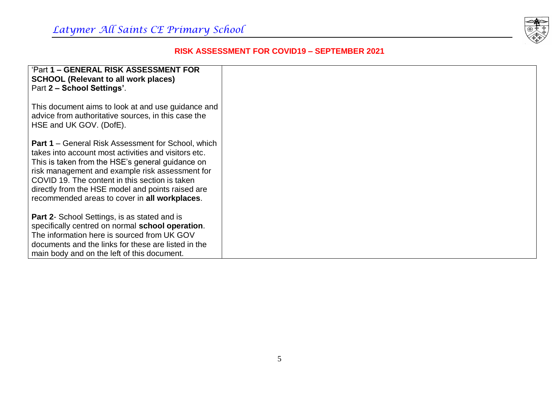

| 'Part 1 - GENERAL RISK ASSESSMENT FOR<br><b>SCHOOL (Relevant to all work places)</b><br>Part 2 – School Settings'.                                                                                                                                                                                                                                                               |  |
|----------------------------------------------------------------------------------------------------------------------------------------------------------------------------------------------------------------------------------------------------------------------------------------------------------------------------------------------------------------------------------|--|
| This document aims to look at and use guidance and<br>advice from authoritative sources, in this case the<br>HSE and UK GOV. (DofE).                                                                                                                                                                                                                                             |  |
| <b>Part 1</b> – General Risk Assessment for School, which<br>takes into account most activities and visitors etc.<br>This is taken from the HSE's general guidance on<br>risk management and example risk assessment for<br>COVID 19. The content in this section is taken<br>directly from the HSE model and points raised are<br>recommended areas to cover in all workplaces. |  |
| <b>Part 2-</b> School Settings, is as stated and is<br>specifically centred on normal school operation.<br>The information here is sourced from UK GOV<br>documents and the links for these are listed in the<br>main body and on the left of this document.                                                                                                                     |  |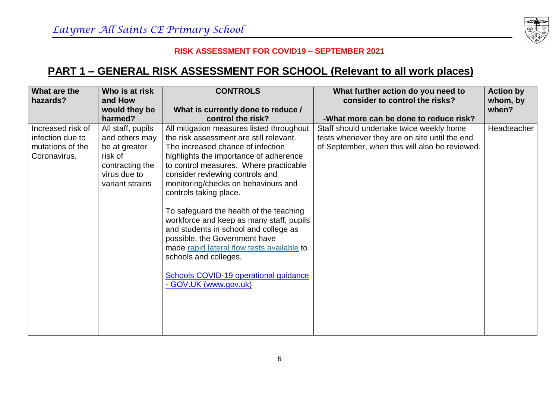

## **PART 1 – GENERAL RISK ASSESSMENT FOR SCHOOL (Relevant to all work places)**

| What are the<br>hazards?                                                  | Who is at risk<br>and How<br>would they be                                                                            | <b>CONTROLS</b><br>What is currently done to reduce /                                                                                                                                                                                                                                                                                                                                                                                                                                                                                                                                                                              | What further action do you need to<br>consider to control the risks?                                                                        | <b>Action by</b><br>whom, by<br>when? |
|---------------------------------------------------------------------------|-----------------------------------------------------------------------------------------------------------------------|------------------------------------------------------------------------------------------------------------------------------------------------------------------------------------------------------------------------------------------------------------------------------------------------------------------------------------------------------------------------------------------------------------------------------------------------------------------------------------------------------------------------------------------------------------------------------------------------------------------------------------|---------------------------------------------------------------------------------------------------------------------------------------------|---------------------------------------|
|                                                                           | harmed?                                                                                                               | control the risk?                                                                                                                                                                                                                                                                                                                                                                                                                                                                                                                                                                                                                  | -What more can be done to reduce risk?                                                                                                      |                                       |
| Increased risk of<br>infection due to<br>mutations of the<br>Coronavirus. | All staff, pupils<br>and others may<br>be at greater<br>risk of<br>contracting the<br>virus due to<br>variant strains | All mitigation measures listed throughout<br>the risk assessment are still relevant.<br>The increased chance of infection<br>highlights the importance of adherence<br>to control measures. Where practicable<br>consider reviewing controls and<br>monitoring/checks on behaviours and<br>controls taking place.<br>To safeguard the health of the teaching<br>workforce and keep as many staff, pupils<br>and students in school and college as<br>possible, the Government have<br>made rapid lateral flow tests available to<br>schools and colleges.<br><b>Schools COVID-19 operational guidance</b><br>- GOV.UK (www.gov.uk) | Staff should undertake twice weekly home<br>tests whenever they are on site until the end<br>of September, when this will also be reviewed. | Headteacher                           |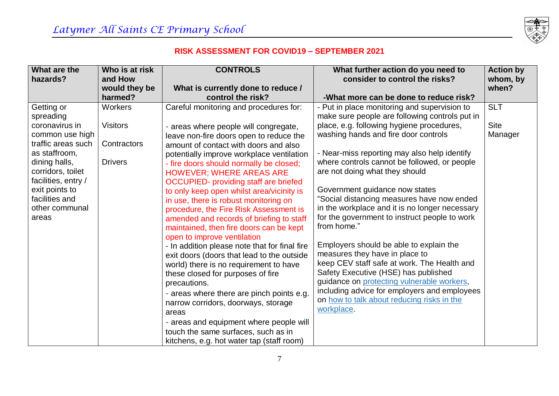

| What are the                     | Who is at risk  | <b>CONTROLS</b>                                                              | What further action do you need to                                                           | <b>Action by</b> |
|----------------------------------|-----------------|------------------------------------------------------------------------------|----------------------------------------------------------------------------------------------|------------------|
| hazards?                         | and How         |                                                                              | consider to control the risks?                                                               | whom, by         |
|                                  | would they be   | What is currently done to reduce /                                           |                                                                                              | when?            |
|                                  | harmed?         | control the risk?                                                            | -What more can be done to reduce risk?                                                       |                  |
| Getting or                       | Workers         | Careful monitoring and procedures for:                                       | - Put in place monitoring and supervision to                                                 | <b>SLT</b>       |
| spreading                        |                 |                                                                              | make sure people are following controls put in                                               |                  |
| coronavirus in                   | <b>Visitors</b> | - areas where people will congregate,                                        | place, e.g. following hygiene procedures,                                                    | <b>Site</b>      |
| common use high                  |                 | leave non-fire doors open to reduce the                                      | washing hands and fire door controls                                                         | Manager          |
| traffic areas such               | Contractors     | amount of contact with doors and also                                        |                                                                                              |                  |
| as staffroom,                    |                 | potentially improve workplace ventilation                                    | - Near-miss reporting may also help identify                                                 |                  |
| dining halls,                    | <b>Drivers</b>  | - fire doors should normally be closed;                                      | where controls cannot be followed, or people                                                 |                  |
| corridors, toilet                |                 | <b>HOWEVER; WHERE AREAS ARE</b>                                              | are not doing what they should                                                               |                  |
| facilities, entry /              |                 | <b>OCCUPIED-</b> providing staff are briefed                                 |                                                                                              |                  |
| exit points to<br>facilities and |                 | to only keep open whilst area/vicinity is                                    | Government guidance now states                                                               |                  |
| other communal                   |                 | in use, there is robust monitoring on                                        | "Social distancing measures have now ended<br>in the workplace and it is no longer necessary |                  |
| areas                            |                 | procedure, the Fire Risk Assessment is                                       | for the government to instruct people to work                                                |                  |
|                                  |                 | amended and records of briefing to staff                                     | from home."                                                                                  |                  |
|                                  |                 | maintained, then fire doors can be kept                                      |                                                                                              |                  |
|                                  |                 | open to improve ventilation<br>- In addition please note that for final fire | Employers should be able to explain the                                                      |                  |
|                                  |                 | exit doors (doors that lead to the outside                                   | measures they have in place to                                                               |                  |
|                                  |                 | world) there is no requirement to have                                       | keep CEV staff safe at work. The Health and                                                  |                  |
|                                  |                 | these closed for purposes of fire                                            | Safety Executive (HSE) has published                                                         |                  |
|                                  |                 | precautions.                                                                 | guidance on protecting vulnerable workers,                                                   |                  |
|                                  |                 | - areas where there are pinch points e.g.                                    | including advice for employers and employees                                                 |                  |
|                                  |                 | narrow corridors, doorways, storage                                          | on how to talk about reducing risks in the                                                   |                  |
|                                  |                 | areas                                                                        | workplace.                                                                                   |                  |
|                                  |                 | - areas and equipment where people will                                      |                                                                                              |                  |
|                                  |                 | touch the same surfaces, such as in                                          |                                                                                              |                  |
|                                  |                 | kitchens, e.g. hot water tap (staff room)                                    |                                                                                              |                  |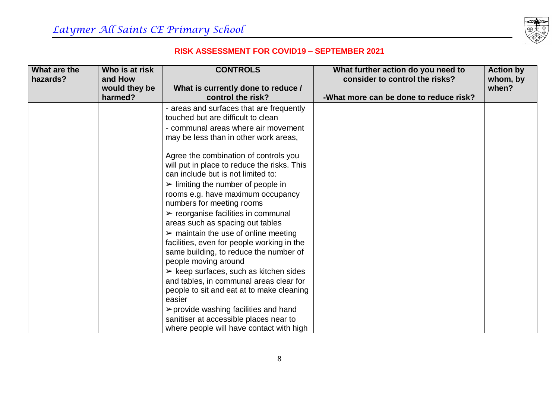

| What are the | Who is at risk | <b>CONTROLS</b>                                       | What further action do you need to     | <b>Action by</b> |
|--------------|----------------|-------------------------------------------------------|----------------------------------------|------------------|
| hazards?     | and How        |                                                       | consider to control the risks?         | whom, by         |
|              | would they be  | What is currently done to reduce /                    |                                        | when?            |
|              | harmed?        | control the risk?                                     | -What more can be done to reduce risk? |                  |
|              |                | - areas and surfaces that are frequently              |                                        |                  |
|              |                | touched but are difficult to clean                    |                                        |                  |
|              |                | - communal areas where air movement                   |                                        |                  |
|              |                | may be less than in other work areas,                 |                                        |                  |
|              |                |                                                       |                                        |                  |
|              |                | Agree the combination of controls you                 |                                        |                  |
|              |                | will put in place to reduce the risks. This           |                                        |                  |
|              |                | can include but is not limited to:                    |                                        |                  |
|              |                | $\triangleright$ limiting the number of people in     |                                        |                  |
|              |                | rooms e.g. have maximum occupancy                     |                                        |                  |
|              |                | numbers for meeting rooms                             |                                        |                  |
|              |                | $\triangleright$ reorganise facilities in communal    |                                        |                  |
|              |                | areas such as spacing out tables                      |                                        |                  |
|              |                | $\triangleright$ maintain the use of online meeting   |                                        |                  |
|              |                | facilities, even for people working in the            |                                        |                  |
|              |                | same building, to reduce the number of                |                                        |                  |
|              |                | people moving around                                  |                                        |                  |
|              |                | $\triangleright$ keep surfaces, such as kitchen sides |                                        |                  |
|              |                | and tables, in communal areas clear for               |                                        |                  |
|              |                | people to sit and eat at to make cleaning             |                                        |                  |
|              |                | easier                                                |                                        |                  |
|              |                | $\triangleright$ provide washing facilities and hand  |                                        |                  |
|              |                | sanitiser at accessible places near to                |                                        |                  |
|              |                | where people will have contact with high              |                                        |                  |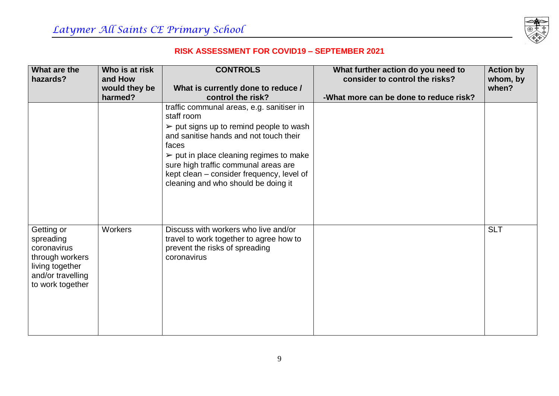

| What are the                                                                                                          | Who is at risk           | <b>CONTROLS</b>                                                                                                                                                                                                                                                                                                                                            | What further action do you need to     | <b>Action by</b> |
|-----------------------------------------------------------------------------------------------------------------------|--------------------------|------------------------------------------------------------------------------------------------------------------------------------------------------------------------------------------------------------------------------------------------------------------------------------------------------------------------------------------------------------|----------------------------------------|------------------|
| hazards?                                                                                                              | and How                  |                                                                                                                                                                                                                                                                                                                                                            | consider to control the risks?         | whom, by         |
|                                                                                                                       | would they be<br>harmed? | What is currently done to reduce /<br>control the risk?                                                                                                                                                                                                                                                                                                    | -What more can be done to reduce risk? | when?            |
|                                                                                                                       |                          | traffic communal areas, e.g. sanitiser in<br>staff room<br>$\triangleright$ put signs up to remind people to wash<br>and sanitise hands and not touch their<br>faces<br>$\triangleright$ put in place cleaning regimes to make<br>sure high traffic communal areas are<br>kept clean – consider frequency, level of<br>cleaning and who should be doing it |                                        |                  |
| Getting or<br>spreading<br>coronavirus<br>through workers<br>living together<br>and/or travelling<br>to work together | Workers                  | Discuss with workers who live and/or<br>travel to work together to agree how to<br>prevent the risks of spreading<br>coronavirus                                                                                                                                                                                                                           |                                        | <b>SLT</b>       |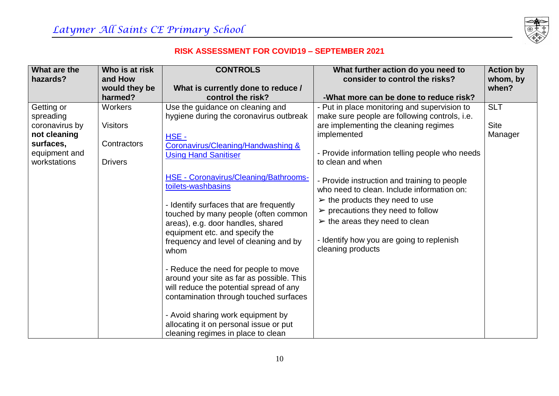

| What are the   | Who is at risk  | <b>CONTROLS</b>                              | What further action do you need to                                                         | <b>Action by</b> |
|----------------|-----------------|----------------------------------------------|--------------------------------------------------------------------------------------------|------------------|
| hazards?       | and How         |                                              | consider to control the risks?                                                             | whom, by         |
|                | would they be   | What is currently done to reduce /           |                                                                                            | when?            |
|                | harmed?         | control the risk?                            | -What more can be done to reduce risk?                                                     |                  |
| Getting or     | <b>Workers</b>  | Use the guidance on cleaning and             | - Put in place monitoring and supervision to                                               | <b>SLT</b>       |
| spreading      |                 | hygiene during the coronavirus outbreak      | make sure people are following controls, i.e.                                              |                  |
| coronavirus by | <b>Visitors</b> |                                              | are implementing the cleaning regimes                                                      | <b>Site</b>      |
| not cleaning   |                 | $HSE -$                                      | implemented                                                                                | Manager          |
| surfaces,      | Contractors     | Coronavirus/Cleaning/Handwashing &           |                                                                                            |                  |
| equipment and  |                 | <b>Using Hand Sanitiser</b>                  | - Provide information telling people who needs                                             |                  |
| workstations   | <b>Drivers</b>  |                                              | to clean and when                                                                          |                  |
|                |                 | <b>HSE - Coronavirus/Cleaning/Bathrooms-</b> |                                                                                            |                  |
|                |                 | toilets-washbasins                           | - Provide instruction and training to people<br>who need to clean. Include information on: |                  |
|                |                 |                                              |                                                                                            |                  |
|                |                 | - Identify surfaces that are frequently      | $\triangleright$ the products they need to use                                             |                  |
|                |                 | touched by many people (often common         | $\triangleright$ precautions they need to follow                                           |                  |
|                |                 | areas), e.g. door handles, shared            | $\triangleright$ the areas they need to clean                                              |                  |
|                |                 | equipment etc. and specify the               |                                                                                            |                  |
|                |                 | frequency and level of cleaning and by       | - Identify how you are going to replenish                                                  |                  |
|                |                 | whom                                         | cleaning products                                                                          |                  |
|                |                 |                                              |                                                                                            |                  |
|                |                 | - Reduce the need for people to move         |                                                                                            |                  |
|                |                 | around your site as far as possible. This    |                                                                                            |                  |
|                |                 | will reduce the potential spread of any      |                                                                                            |                  |
|                |                 | contamination through touched surfaces       |                                                                                            |                  |
|                |                 | - Avoid sharing work equipment by            |                                                                                            |                  |
|                |                 | allocating it on personal issue or put       |                                                                                            |                  |
|                |                 | cleaning regimes in place to clean           |                                                                                            |                  |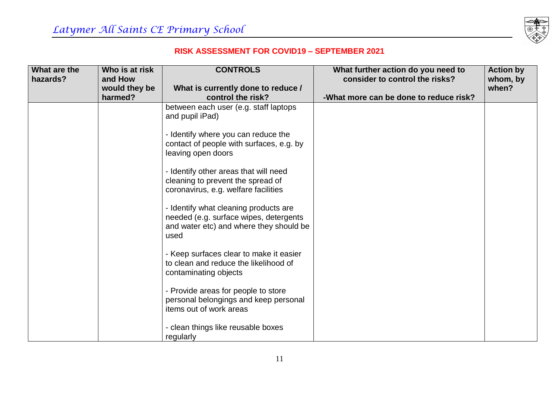

| What are the | Who is at risk           | <b>CONTROLS</b>                                                                                                                    | What further action do you need to     | <b>Action by</b>  |
|--------------|--------------------------|------------------------------------------------------------------------------------------------------------------------------------|----------------------------------------|-------------------|
| hazards?     | and How                  |                                                                                                                                    | consider to control the risks?         | whom, by<br>when? |
|              | would they be<br>harmed? | What is currently done to reduce /<br>control the risk?                                                                            | -What more can be done to reduce risk? |                   |
|              |                          | between each user (e.g. staff laptops<br>and pupil iPad)                                                                           |                                        |                   |
|              |                          | - Identify where you can reduce the<br>contact of people with surfaces, e.g. by<br>leaving open doors                              |                                        |                   |
|              |                          | - Identify other areas that will need<br>cleaning to prevent the spread of<br>coronavirus, e.g. welfare facilities                 |                                        |                   |
|              |                          | - Identify what cleaning products are<br>needed (e.g. surface wipes, detergents<br>and water etc) and where they should be<br>used |                                        |                   |
|              |                          | - Keep surfaces clear to make it easier<br>to clean and reduce the likelihood of<br>contaminating objects                          |                                        |                   |
|              |                          | - Provide areas for people to store<br>personal belongings and keep personal<br>items out of work areas                            |                                        |                   |
|              |                          | - clean things like reusable boxes<br>regularly                                                                                    |                                        |                   |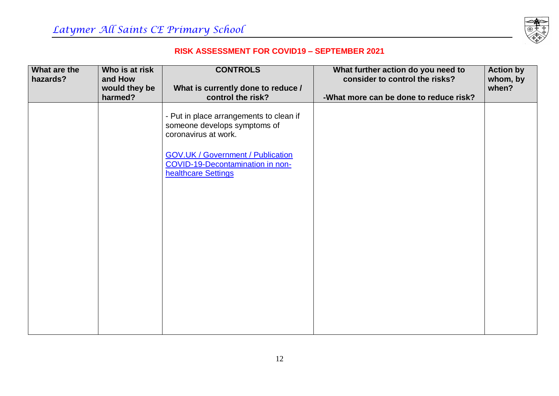

| What are the | Who is at risk<br>and How | <b>CONTROLS</b>                                                                                                                                                                                               | What further action do you need to<br>consider to control the risks? | <b>Action by</b>  |
|--------------|---------------------------|---------------------------------------------------------------------------------------------------------------------------------------------------------------------------------------------------------------|----------------------------------------------------------------------|-------------------|
| hazards?     | would they be             | What is currently done to reduce /                                                                                                                                                                            |                                                                      | whom, by<br>when? |
|              | harmed?                   | control the risk?                                                                                                                                                                                             | -What more can be done to reduce risk?                               |                   |
|              |                           | - Put in place arrangements to clean if<br>someone develops symptoms of<br>coronavirus at work.<br><b>GOV.UK / Government / Publication</b><br><b>COVID-19-Decontamination in non-</b><br>healthcare Settings |                                                                      |                   |
|              |                           |                                                                                                                                                                                                               |                                                                      |                   |
|              |                           |                                                                                                                                                                                                               |                                                                      |                   |
|              |                           |                                                                                                                                                                                                               |                                                                      |                   |
|              |                           |                                                                                                                                                                                                               |                                                                      |                   |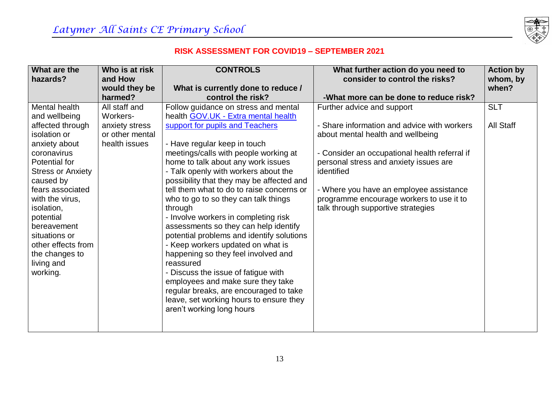

| What are the                                                                                                                                                                                                                                                                                                                     | Who is at risk                                                                  | <b>CONTROLS</b>                                                                                                                                                                                                                                                                                                                                                                                                                                                                                                                                                                                                                                                                                                                                                                                                                                | What further action do you need to                                                                                                                                                                                                                                                                                                                   | <b>Action by</b>               |
|----------------------------------------------------------------------------------------------------------------------------------------------------------------------------------------------------------------------------------------------------------------------------------------------------------------------------------|---------------------------------------------------------------------------------|------------------------------------------------------------------------------------------------------------------------------------------------------------------------------------------------------------------------------------------------------------------------------------------------------------------------------------------------------------------------------------------------------------------------------------------------------------------------------------------------------------------------------------------------------------------------------------------------------------------------------------------------------------------------------------------------------------------------------------------------------------------------------------------------------------------------------------------------|------------------------------------------------------------------------------------------------------------------------------------------------------------------------------------------------------------------------------------------------------------------------------------------------------------------------------------------------------|--------------------------------|
| hazards?                                                                                                                                                                                                                                                                                                                         | and How<br>would they be                                                        | What is currently done to reduce /                                                                                                                                                                                                                                                                                                                                                                                                                                                                                                                                                                                                                                                                                                                                                                                                             | consider to control the risks?                                                                                                                                                                                                                                                                                                                       | whom, by<br>when?              |
|                                                                                                                                                                                                                                                                                                                                  | harmed?                                                                         | control the risk?                                                                                                                                                                                                                                                                                                                                                                                                                                                                                                                                                                                                                                                                                                                                                                                                                              | -What more can be done to reduce risk?                                                                                                                                                                                                                                                                                                               |                                |
| Mental health<br>and wellbeing<br>affected through<br>isolation or<br>anxiety about<br>coronavirus<br>Potential for<br><b>Stress or Anxiety</b><br>caused by<br>fears associated<br>with the virus,<br>isolation,<br>potential<br>bereavement<br>situations or<br>other effects from<br>the changes to<br>living and<br>working. | All staff and<br>Workers-<br>anxiety stress<br>or other mental<br>health issues | Follow guidance on stress and mental<br>health <b>GOV.UK - Extra mental health</b><br>support for pupils and Teachers<br>- Have regular keep in touch<br>meetings/calls with people working at<br>home to talk about any work issues<br>- Talk openly with workers about the<br>possibility that they may be affected and<br>tell them what to do to raise concerns or<br>who to go to so they can talk things<br>through<br>- Involve workers in completing risk<br>assessments so they can help identify<br>potential problems and identify solutions<br>- Keep workers updated on what is<br>happening so they feel involved and<br>reassured<br>- Discuss the issue of fatigue with<br>employees and make sure they take<br>regular breaks, are encouraged to take<br>leave, set working hours to ensure they<br>aren't working long hours | Further advice and support<br>- Share information and advice with workers<br>about mental health and wellbeing<br>- Consider an occupational health referral if<br>personal stress and anxiety issues are<br>identified<br>- Where you have an employee assistance<br>programme encourage workers to use it to<br>talk through supportive strategies | <b>SLT</b><br><b>All Staff</b> |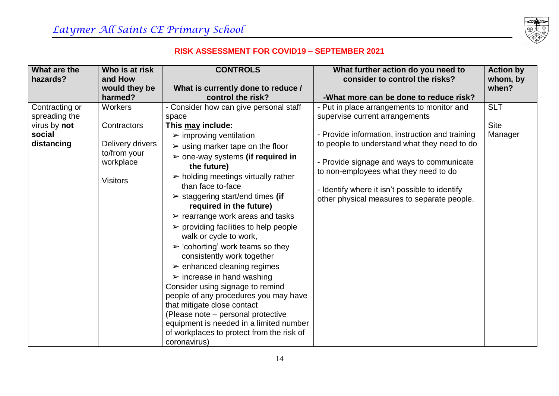

| What are the   | Who is at risk                               | <b>CONTROLS</b>                                                            | What further action do you need to                                                            | <b>Action by</b> |
|----------------|----------------------------------------------|----------------------------------------------------------------------------|-----------------------------------------------------------------------------------------------|------------------|
| hazards?       | and How                                      |                                                                            | consider to control the risks?                                                                | whom, by         |
|                | would they be                                | What is currently done to reduce /                                         |                                                                                               | when?            |
|                | harmed?                                      | control the risk?                                                          | -What more can be done to reduce risk?                                                        |                  |
| Contracting or | Workers                                      | - Consider how can give personal staff                                     | - Put in place arrangements to monitor and                                                    | <b>SLT</b>       |
| spreading the  |                                              | space                                                                      | supervise current arrangements                                                                |                  |
| virus by not   | Contractors                                  | This may include:                                                          |                                                                                               | <b>Site</b>      |
| social         |                                              | $\triangleright$ improving ventilation                                     | - Provide information, instruction and training                                               | Manager          |
| distancing     | Delivery drivers                             | $\triangleright$ using marker tape on the floor                            | to people to understand what they need to do                                                  |                  |
|                | to/from your<br>workplace<br><b>Visitors</b> | $\triangleright$ one-way systems (if required in<br>the future)            | - Provide signage and ways to communicate                                                     |                  |
|                |                                              | $\triangleright$ holding meetings virtually rather<br>than face to-face    | to non-employees what they need to do                                                         |                  |
|                |                                              | $\triangleright$ staggering start/end times (if<br>required in the future) | - Identify where it isn't possible to identify<br>other physical measures to separate people. |                  |
|                |                                              | $\triangleright$ rearrange work areas and tasks                            |                                                                                               |                  |
|                |                                              | $\triangleright$ providing facilities to help people                       |                                                                                               |                  |
|                |                                              | walk or cycle to work,                                                     |                                                                                               |                  |
|                |                                              | $\triangleright$ 'cohorting' work teams so they                            |                                                                                               |                  |
|                |                                              | consistently work together                                                 |                                                                                               |                  |
|                |                                              | $\triangleright$ enhanced cleaning regimes                                 |                                                                                               |                  |
|                |                                              | $\triangleright$ increase in hand washing                                  |                                                                                               |                  |
|                |                                              | Consider using signage to remind                                           |                                                                                               |                  |
|                |                                              | people of any procedures you may have                                      |                                                                                               |                  |
|                |                                              | that mitigate close contact                                                |                                                                                               |                  |
|                |                                              | (Please note - personal protective                                         |                                                                                               |                  |
|                |                                              | equipment is needed in a limited number                                    |                                                                                               |                  |
|                |                                              | of workplaces to protect from the risk of                                  |                                                                                               |                  |
|                |                                              | coronavirus)                                                               |                                                                                               |                  |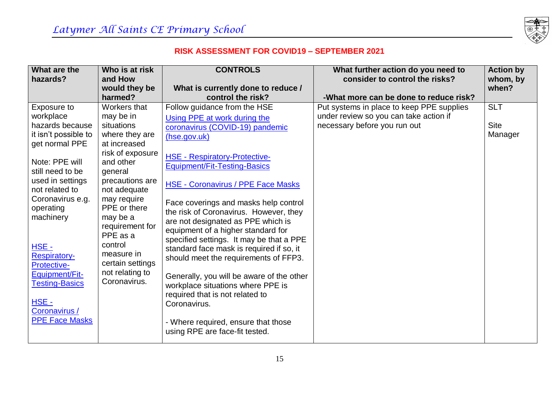

| What are the                  | Who is at risk              | <b>CONTROLS</b>                           | What further action do you need to        | <b>Action by</b> |
|-------------------------------|-----------------------------|-------------------------------------------|-------------------------------------------|------------------|
| hazards?                      | and How                     |                                           | consider to control the risks?            | whom, by         |
|                               | would they be               | What is currently done to reduce /        |                                           | when?            |
|                               | harmed?                     | control the risk?                         | -What more can be done to reduce risk?    |                  |
| Exposure to                   | Workers that                | Follow guidance from the HSE              | Put systems in place to keep PPE supplies | <b>SLT</b>       |
| workplace                     | may be in                   | Using PPE at work during the              | under review so you can take action if    |                  |
| hazards because               | situations                  | coronavirus (COVID-19) pandemic           | necessary before you run out              | <b>Site</b>      |
| it isn't possible to          | where they are              | (hse.gov.uk)                              |                                           | Manager          |
| get normal PPE                | at increased                |                                           |                                           |                  |
|                               | risk of exposure            | <b>HSE - Respiratory-Protective-</b>      |                                           |                  |
| Note: PPE will                | and other                   | Equipment/Fit-Testing-Basics              |                                           |                  |
| still need to be              | general                     |                                           |                                           |                  |
| used in settings              | precautions are             | <b>HSE - Coronavirus / PPE Face Masks</b> |                                           |                  |
| not related to                | not adequate                |                                           |                                           |                  |
| Coronavirus e.g.<br>operating | may require<br>PPE or there | Face coverings and masks help control     |                                           |                  |
| machinery                     | may be a                    | the risk of Coronavirus. However, they    |                                           |                  |
|                               | requirement for             | are not designated as PPE which is        |                                           |                  |
|                               | PPE as a                    | equipment of a higher standard for        |                                           |                  |
| HSE -                         | control                     | specified settings. It may be that a PPE  |                                           |                  |
| <b>Respiratory-</b>           | measure in                  | standard face mask is required if so, it  |                                           |                  |
| Protective-                   | certain settings            | should meet the requirements of FFP3.     |                                           |                  |
| Equipment/Fit-                | not relating to             |                                           |                                           |                  |
| <b>Testing-Basics</b>         | Coronavirus.                | Generally, you will be aware of the other |                                           |                  |
|                               |                             | workplace situations where PPE is         |                                           |                  |
| $HSE -$                       |                             | required that is not related to           |                                           |                  |
| Coronavirus /                 |                             | Coronavirus.                              |                                           |                  |
| <b>PPE Face Masks</b>         |                             | - Where required, ensure that those       |                                           |                  |
|                               |                             | using RPE are face-fit tested.            |                                           |                  |
|                               |                             |                                           |                                           |                  |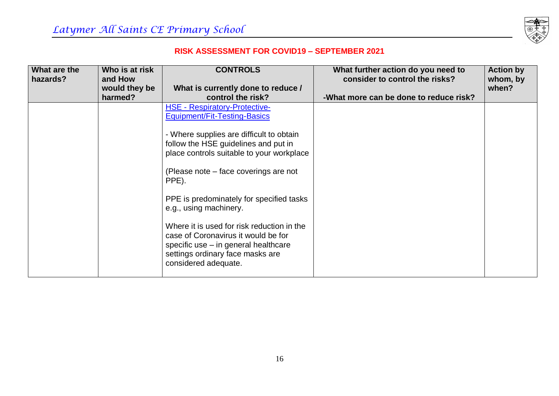

| What are the<br>hazards? | Who is at risk<br>and How | <b>CONTROLS</b>                                                                                                                                                                       | What further action do you need to<br>consider to control the risks? | <b>Action by</b><br>whom, by |
|--------------------------|---------------------------|---------------------------------------------------------------------------------------------------------------------------------------------------------------------------------------|----------------------------------------------------------------------|------------------------------|
|                          | would they be             | What is currently done to reduce /                                                                                                                                                    |                                                                      | when?                        |
|                          | harmed?                   | control the risk?                                                                                                                                                                     | -What more can be done to reduce risk?                               |                              |
|                          |                           | <b>HSE - Respiratory-Protective-</b><br>Equipment/Fit-Testing-Basics                                                                                                                  |                                                                      |                              |
|                          |                           | - Where supplies are difficult to obtain<br>follow the HSE guidelines and put in<br>place controls suitable to your workplace                                                         |                                                                      |                              |
|                          |                           | (Please note – face coverings are not<br>PPE).                                                                                                                                        |                                                                      |                              |
|                          |                           | PPE is predominately for specified tasks<br>e.g., using machinery.                                                                                                                    |                                                                      |                              |
|                          |                           | Where it is used for risk reduction in the<br>case of Coronavirus it would be for<br>specific use – in general healthcare<br>settings ordinary face masks are<br>considered adequate. |                                                                      |                              |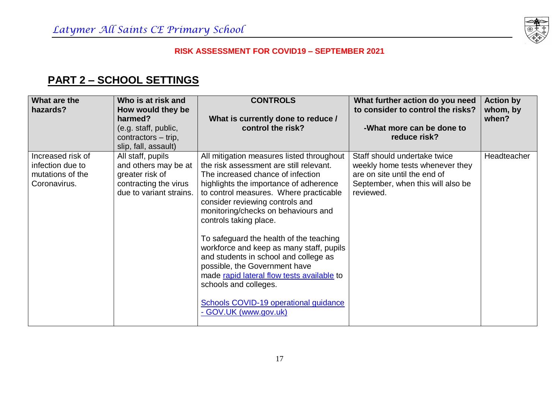

## **PART 2 – SCHOOL SETTINGS**

| What are the<br>hazards?                                                  | Who is at risk and<br>How would they be<br>harmed?<br>(e.g. staff, public,<br>contractors – trip,<br>slip, fall, assault) | <b>CONTROLS</b><br>What is currently done to reduce /<br>control the risk?                                                                                                                                                                                                                                                                                                                                                                                                                                                                                                                                                  | What further action do you need<br>to consider to control the risks?<br>-What more can be done to<br>reduce risk?                                 | <b>Action by</b><br>whom, by<br>when? |
|---------------------------------------------------------------------------|---------------------------------------------------------------------------------------------------------------------------|-----------------------------------------------------------------------------------------------------------------------------------------------------------------------------------------------------------------------------------------------------------------------------------------------------------------------------------------------------------------------------------------------------------------------------------------------------------------------------------------------------------------------------------------------------------------------------------------------------------------------------|---------------------------------------------------------------------------------------------------------------------------------------------------|---------------------------------------|
| Increased risk of<br>infection due to<br>mutations of the<br>Coronavirus. | All staff, pupils<br>and others may be at<br>greater risk of<br>contracting the virus<br>due to variant strains.          | All mitigation measures listed throughout<br>the risk assessment are still relevant.<br>The increased chance of infection<br>highlights the importance of adherence<br>to control measures. Where practicable<br>consider reviewing controls and<br>monitoring/checks on behaviours and<br>controls taking place.<br>To safeguard the health of the teaching<br>workforce and keep as many staff, pupils<br>and students in school and college as<br>possible, the Government have<br>made rapid lateral flow tests available to<br>schools and colleges.<br>Schools COVID-19 operational guidance<br>- GOV.UK (www.gov.uk) | Staff should undertake twice<br>weekly home tests whenever they<br>are on site until the end of<br>September, when this will also be<br>reviewed. | Headteacher                           |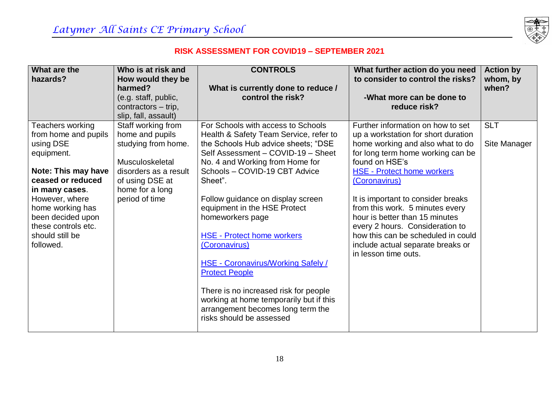

| What are the         | Who is at risk and    | <b>CONTROLS</b>                          | What further action do you need     | <b>Action by</b> |
|----------------------|-----------------------|------------------------------------------|-------------------------------------|------------------|
| hazards?             | How would they be     |                                          | to consider to control the risks?   | whom, by         |
|                      | harmed?               | What is currently done to reduce /       |                                     | when?            |
|                      | (e.g. staff, public,  | control the risk?                        | -What more can be done to           |                  |
|                      | contractors – trip,   |                                          | reduce risk?                        |                  |
|                      | slip, fall, assault)  |                                          |                                     |                  |
| Teachers working     | Staff working from    | For Schools with access to Schools       | Further information on how to set   | <b>SLT</b>       |
| from home and pupils | home and pupils       | Health & Safety Team Service, refer to   | up a workstation for short duration |                  |
| using DSE            | studying from home.   | the Schools Hub advice sheets; "DSE      | home working and also what to do    | Site Manager     |
| equipment.           |                       | Self Assessment - COVID-19 - Sheet       | for long term home working can be   |                  |
|                      | Musculoskeletal       | No. 4 and Working from Home for          | found on HSE's                      |                  |
| Note: This may have  | disorders as a result | Schools - COVID-19 CBT Advice            | <b>HSE - Protect home workers</b>   |                  |
| ceased or reduced    | of using DSE at       | Sheet".                                  | (Coronavirus)                       |                  |
| in many cases.       | home for a long       |                                          |                                     |                  |
| However, where       | period of time        | Follow guidance on display screen        | It is important to consider breaks  |                  |
| home working has     |                       | equipment in the HSE Protect             | from this work. 5 minutes every     |                  |
| been decided upon    |                       | homeworkers page                         | hour is better than 15 minutes      |                  |
| these controls etc.  |                       |                                          | every 2 hours. Consideration to     |                  |
| should still be      |                       | <b>HSE - Protect home workers</b>        | how this can be scheduled in could  |                  |
| followed.            |                       | (Coronavirus)                            | include actual separate breaks or   |                  |
|                      |                       |                                          | in lesson time outs.                |                  |
|                      |                       | <b>HSE - Coronavirus/Working Safely/</b> |                                     |                  |
|                      |                       | <b>Protect People</b>                    |                                     |                  |
|                      |                       |                                          |                                     |                  |
|                      |                       | There is no increased risk for people    |                                     |                  |
|                      |                       | working at home temporarily but if this  |                                     |                  |
|                      |                       | arrangement becomes long term the        |                                     |                  |
|                      |                       | risks should be assessed                 |                                     |                  |
|                      |                       |                                          |                                     |                  |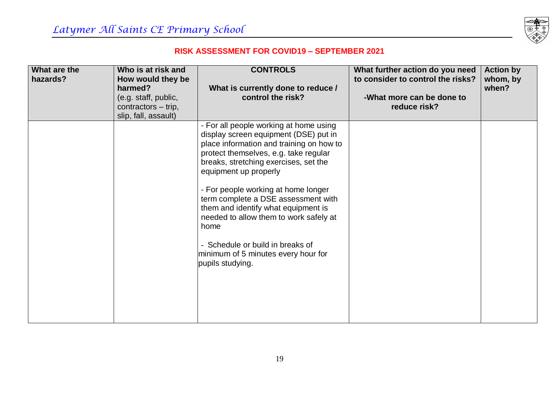

| What are the<br>hazards? | Who is at risk and<br>How would they be | <b>CONTROLS</b>                                | What further action do you need<br>to consider to control the risks? | <b>Action by</b><br>whom, by |
|--------------------------|-----------------------------------------|------------------------------------------------|----------------------------------------------------------------------|------------------------------|
|                          | harmed?                                 | What is currently done to reduce /             |                                                                      | when?                        |
|                          | (e.g. staff, public,                    | control the risk?                              | -What more can be done to                                            |                              |
|                          | contractors – trip,                     |                                                | reduce risk?                                                         |                              |
|                          | slip, fall, assault)                    | - For all people working at home using         |                                                                      |                              |
|                          |                                         | display screen equipment (DSE) put in          |                                                                      |                              |
|                          |                                         | place information and training on how to       |                                                                      |                              |
|                          |                                         | protect themselves, e.g. take regular          |                                                                      |                              |
|                          |                                         | breaks, stretching exercises, set the          |                                                                      |                              |
|                          |                                         | equipment up properly                          |                                                                      |                              |
|                          |                                         | - For people working at home longer            |                                                                      |                              |
|                          |                                         | term complete a DSE assessment with            |                                                                      |                              |
|                          |                                         | them and identify what equipment is            |                                                                      |                              |
|                          |                                         | needed to allow them to work safely at<br>home |                                                                      |                              |
|                          |                                         |                                                |                                                                      |                              |
|                          |                                         | - Schedule or build in breaks of               |                                                                      |                              |
|                          |                                         | minimum of 5 minutes every hour for            |                                                                      |                              |
|                          |                                         | pupils studying.                               |                                                                      |                              |
|                          |                                         |                                                |                                                                      |                              |
|                          |                                         |                                                |                                                                      |                              |
|                          |                                         |                                                |                                                                      |                              |
|                          |                                         |                                                |                                                                      |                              |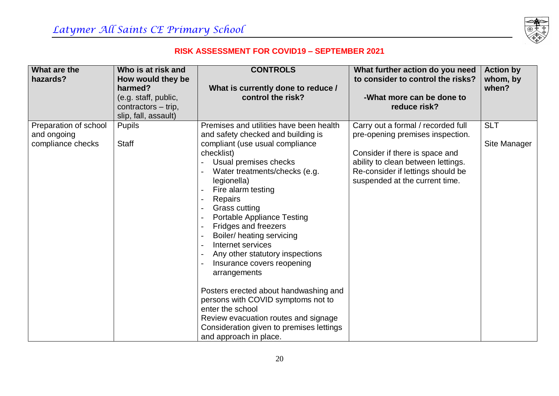

| What are the          | Who is at risk and   | <b>CONTROLS</b>                          | What further action do you need    | <b>Action by</b> |
|-----------------------|----------------------|------------------------------------------|------------------------------------|------------------|
| hazards?              | How would they be    |                                          | to consider to control the risks?  | whom, by         |
|                       | harmed?              | What is currently done to reduce /       |                                    | when?            |
|                       | (e.g. staff, public, | control the risk?                        | -What more can be done to          |                  |
|                       | contractors - trip,  |                                          | reduce risk?                       |                  |
|                       | slip, fall, assault) |                                          |                                    |                  |
| Preparation of school | <b>Pupils</b>        | Premises and utilities have been health  | Carry out a formal / recorded full | <b>SLT</b>       |
| and ongoing           |                      | and safety checked and building is       | pre-opening premises inspection.   |                  |
| compliance checks     | <b>Staff</b>         | compliant (use usual compliance          |                                    | Site Manager     |
|                       |                      | checklist)                               | Consider if there is space and     |                  |
|                       |                      | Usual premises checks                    | ability to clean between lettings. |                  |
|                       |                      | Water treatments/checks (e.g.            | Re-consider if lettings should be  |                  |
|                       |                      | legionella)                              | suspended at the current time.     |                  |
|                       |                      | Fire alarm testing                       |                                    |                  |
|                       |                      | Repairs                                  |                                    |                  |
|                       |                      | <b>Grass cutting</b>                     |                                    |                  |
|                       |                      | <b>Portable Appliance Testing</b>        |                                    |                  |
|                       |                      | Fridges and freezers                     |                                    |                  |
|                       |                      | Boiler/ heating servicing                |                                    |                  |
|                       |                      | Internet services                        |                                    |                  |
|                       |                      | Any other statutory inspections          |                                    |                  |
|                       |                      | Insurance covers reopening               |                                    |                  |
|                       |                      | arrangements                             |                                    |                  |
|                       |                      |                                          |                                    |                  |
|                       |                      | Posters erected about handwashing and    |                                    |                  |
|                       |                      | persons with COVID symptoms not to       |                                    |                  |
|                       |                      | enter the school                         |                                    |                  |
|                       |                      | Review evacuation routes and signage     |                                    |                  |
|                       |                      | Consideration given to premises lettings |                                    |                  |
|                       |                      | and approach in place.                   |                                    |                  |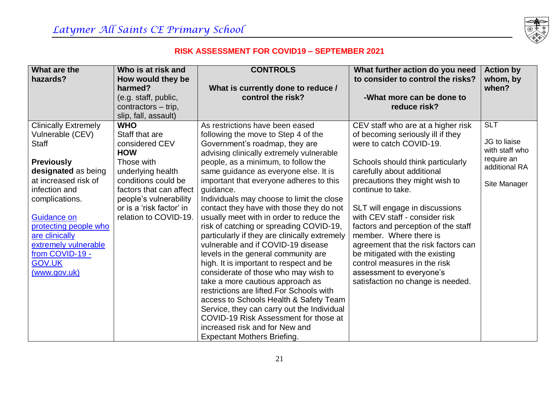

| What are the                | Who is at risk and       | <b>CONTROLS</b>                               | What further action do you need     | <b>Action by</b>            |
|-----------------------------|--------------------------|-----------------------------------------------|-------------------------------------|-----------------------------|
| hazards?                    | How would they be        |                                               | to consider to control the risks?   | whom, by                    |
|                             | harmed?                  | What is currently done to reduce /            |                                     | when?                       |
|                             | (e.g. staff, public,     | control the risk?                             | -What more can be done to           |                             |
|                             | contractors - trip,      |                                               | reduce risk?                        |                             |
|                             | slip, fall, assault)     |                                               |                                     |                             |
| <b>Clinically Extremely</b> | <b>WHO</b>               | As restrictions have been eased               | CEV staff who are at a higher risk  | <b>SLT</b>                  |
| Vulnerable (CEV)            | Staff that are           | following the move to Step 4 of the           | of becoming seriously ill if they   |                             |
| <b>Staff</b>                | considered CEV           | Government's roadmap, they are                | were to catch COVID-19.             | JG to liaise                |
|                             | <b>HOW</b>               | advising clinically extremely vulnerable      |                                     | with staff who              |
| <b>Previously</b>           | Those with               | people, as a minimum, to follow the           | Schools should think particularly   | require an<br>additional RA |
| designated as being         | underlying health        | same guidance as everyone else. It is         | carefully about additional          |                             |
| at increased risk of        | conditions could be      | important that everyone adheres to this       | precautions they might wish to      | Site Manager                |
| infection and               | factors that can affect  | guidance.                                     | continue to take.                   |                             |
| complications.              | people's vulnerability   | Individuals may choose to limit the close     |                                     |                             |
|                             | or is a 'risk factor' in | contact they have with those they do not      | SLT will engage in discussions      |                             |
| Guidance on                 | relation to COVID-19.    | usually meet with in order to reduce the      | with CEV staff - consider risk      |                             |
| protecting people who       |                          | risk of catching or spreading COVID-19,       | factors and perception of the staff |                             |
| are clinically              |                          | particularly if they are clinically extremely | member. Where there is              |                             |
| extremely vulnerable        |                          | vulnerable and if COVID-19 disease            | agreement that the risk factors can |                             |
| from COVID-19 -             |                          | levels in the general community are           | be mitigated with the existing      |                             |
| <b>GOV.UK</b>               |                          | high. It is important to respect and be       | control measures in the risk        |                             |
| (www.gov.uk)                |                          | considerate of those who may wish to          | assessment to everyone's            |                             |
|                             |                          | take a more cautious approach as              | satisfaction no change is needed.   |                             |
|                             |                          | restrictions are lifted. For Schools with     |                                     |                             |
|                             |                          | access to Schools Health & Safety Team        |                                     |                             |
|                             |                          | Service, they can carry out the Individual    |                                     |                             |
|                             |                          | COVID-19 Risk Assessment for those at         |                                     |                             |
|                             |                          | increased risk and for New and                |                                     |                             |
|                             |                          | <b>Expectant Mothers Briefing.</b>            |                                     |                             |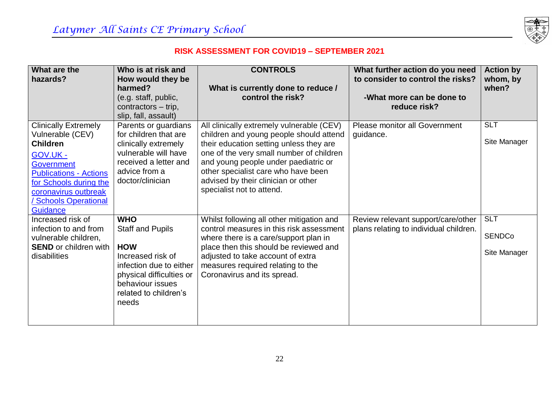

| What are the                                                                                                                                                                                                                           | Who is at risk and                                                                                                                                                                    | <b>CONTROLS</b>                                                                                                                                                                                                                                                                                                                | What further action do you need                                              | <b>Action by</b>                            |
|----------------------------------------------------------------------------------------------------------------------------------------------------------------------------------------------------------------------------------------|---------------------------------------------------------------------------------------------------------------------------------------------------------------------------------------|--------------------------------------------------------------------------------------------------------------------------------------------------------------------------------------------------------------------------------------------------------------------------------------------------------------------------------|------------------------------------------------------------------------------|---------------------------------------------|
| hazards?                                                                                                                                                                                                                               | How would they be<br>harmed?                                                                                                                                                          | What is currently done to reduce /                                                                                                                                                                                                                                                                                             | to consider to control the risks?                                            | whom, by<br>when?                           |
|                                                                                                                                                                                                                                        | (e.g. staff, public,<br>contractors - trip,<br>slip, fall, assault)                                                                                                                   | control the risk?                                                                                                                                                                                                                                                                                                              | -What more can be done to<br>reduce risk?                                    |                                             |
| <b>Clinically Extremely</b><br>Vulnerable (CEV)<br><b>Children</b><br><b>GOV.UK-</b><br>Government<br><b>Publications - Actions</b><br>for Schools during the<br>coronavirus outbreak<br><b>Schools Operational</b><br><b>Guidance</b> | Parents or guardians<br>for children that are<br>clinically extremely<br>vulnerable will have<br>received a letter and<br>advice from a<br>doctor/clinician                           | All clinically extremely vulnerable (CEV)<br>children and young people should attend<br>their education setting unless they are<br>one of the very small number of children<br>and young people under paediatric or<br>other specialist care who have been<br>advised by their clinician or other<br>specialist not to attend. | Please monitor all Government<br>guidance.                                   | <b>SLT</b><br>Site Manager                  |
| Increased risk of<br>infection to and from<br>vulnerable children,<br><b>SEND</b> or children with<br>disabilities                                                                                                                     | <b>WHO</b><br><b>Staff and Pupils</b><br><b>HOW</b><br>Increased risk of<br>infection due to either<br>physical difficulties or<br>behaviour issues<br>related to children's<br>needs | Whilst following all other mitigation and<br>control measures in this risk assessment<br>where there is a care/support plan in<br>place then this should be reviewed and<br>adjusted to take account of extra<br>measures required relating to the<br>Coronavirus and its spread.                                              | Review relevant support/care/other<br>plans relating to individual children. | <b>SLT</b><br><b>SENDCo</b><br>Site Manager |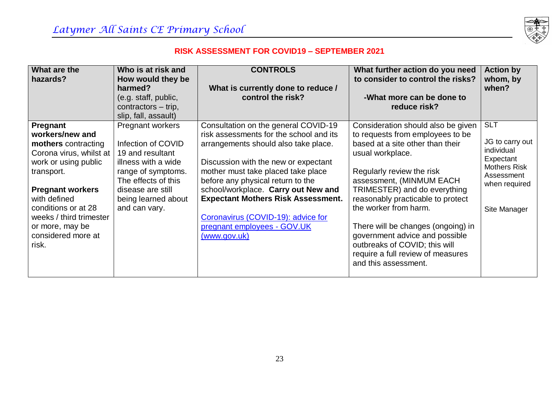

| What are the<br>hazards?                                                                                                                                                                                                                                           | Who is at risk and<br>How would they be<br>harmed?                                                                                                                                          | <b>CONTROLS</b><br>What is currently done to reduce /                                                                                                                                                                                                                                                                                                                                                               | What further action do you need<br>to consider to control the risks?                                                                                                                                                                                                                                                                                                                                                                                        | <b>Action by</b><br>whom, by<br>when?                                                                                          |
|--------------------------------------------------------------------------------------------------------------------------------------------------------------------------------------------------------------------------------------------------------------------|---------------------------------------------------------------------------------------------------------------------------------------------------------------------------------------------|---------------------------------------------------------------------------------------------------------------------------------------------------------------------------------------------------------------------------------------------------------------------------------------------------------------------------------------------------------------------------------------------------------------------|-------------------------------------------------------------------------------------------------------------------------------------------------------------------------------------------------------------------------------------------------------------------------------------------------------------------------------------------------------------------------------------------------------------------------------------------------------------|--------------------------------------------------------------------------------------------------------------------------------|
|                                                                                                                                                                                                                                                                    | (e.g. staff, public,<br>contractors – trip,<br>slip, fall, assault)                                                                                                                         | control the risk?                                                                                                                                                                                                                                                                                                                                                                                                   | -What more can be done to<br>reduce risk?                                                                                                                                                                                                                                                                                                                                                                                                                   |                                                                                                                                |
| Pregnant<br>workers/new and<br>mothers contracting<br>Corona virus, whilst at<br>work or using public<br>transport.<br><b>Pregnant workers</b><br>with defined<br>conditions or at 28<br>weeks / third trimester<br>or more, may be<br>considered more at<br>risk. | Pregnant workers<br>Infection of COVID<br>19 and resultant<br>illness with a wide<br>range of symptoms.<br>The effects of this<br>disease are still<br>being learned about<br>and can vary. | Consultation on the general COVID-19<br>risk assessments for the school and its<br>arrangements should also take place.<br>Discussion with the new or expectant<br>mother must take placed take place<br>before any physical return to the<br>school/workplace. Carry out New and<br><b>Expectant Mothers Risk Assessment.</b><br>Coronavirus (COVID-19): advice for<br>pregnant employees - GOV.UK<br>(www.gov.uk) | Consideration should also be given<br>to requests from employees to be<br>based at a site other than their<br>usual workplace.<br>Regularly review the risk<br>assessment, (MINMUM EACH<br>TRIMESTER) and do everything<br>reasonably practicable to protect<br>the worker from harm.<br>There will be changes (ongoing) in<br>government advice and possible<br>outbreaks of COVID; this will<br>require a full review of measures<br>and this assessment. | <b>SLT</b><br>JG to carry out<br>individual<br>Expectant<br><b>Mothers Risk</b><br>Assessment<br>when required<br>Site Manager |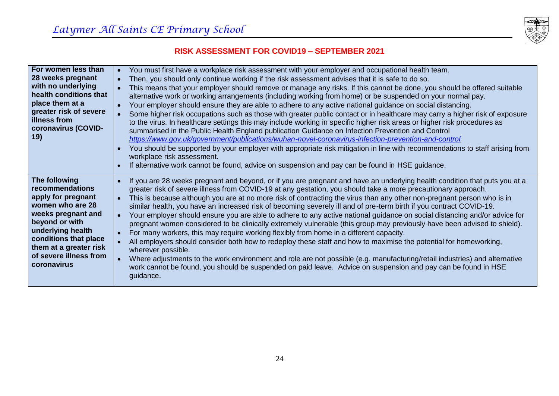

| For women less than                  | You must first have a workplace risk assessment with your employer and occupational health team.<br>$\bullet$                             |
|--------------------------------------|-------------------------------------------------------------------------------------------------------------------------------------------|
| 28 weeks pregnant                    | Then, you should only continue working if the risk assessment advises that it is safe to do so.<br>$\bullet$                              |
| with no underlying                   | This means that your employer should remove or manage any risks. If this cannot be done, you should be offered suitable                   |
| health conditions that               | alternative work or working arrangements (including working from home) or be suspended on your normal pay.                                |
| place them at a                      | Your employer should ensure they are able to adhere to any active national guidance on social distancing.<br>$\bullet$                    |
| greater risk of severe               | Some higher risk occupations such as those with greater public contact or in healthcare may carry a higher risk of exposure               |
| illness from                         | to the virus. In healthcare settings this may include working in specific higher risk areas or higher risk procedures as                  |
| coronavirus (COVID-                  | summarised in the Public Health England publication Guidance on Infection Prevention and Control                                          |
| 19)                                  | https://www.gov.uk/government/publications/wuhan-novel-coronavirus-infection-prevention-and-control                                       |
|                                      | You should be supported by your employer with appropriate risk mitigation in line with recommendations to staff arising from<br>$\bullet$ |
|                                      | workplace risk assessment.                                                                                                                |
|                                      | If alternative work cannot be found, advice on suspension and pay can be found in HSE guidance.<br>$\bullet$                              |
|                                      |                                                                                                                                           |
| The following                        | If you are 28 weeks pregnant and beyond, or if you are pregnant and have an underlying health condition that puts you at a<br>$\bullet$   |
| recommendations                      | greater risk of severe illness from COVID-19 at any gestation, you should take a more precautionary approach.                             |
| apply for pregnant                   | This is because although you are at no more risk of contracting the virus than any other non-pregnant person who is in<br>$\bullet$       |
| women who are 28                     | similar health, you have an increased risk of becoming severely ill and of pre-term birth if you contract COVID-19.                       |
| weeks pregnant and<br>beyond or with | Your employer should ensure you are able to adhere to any active national guidance on social distancing and/or advice for<br>$\bullet$    |
| underlying health                    | pregnant women considered to be clinically extremely vulnerable (this group may previously have been advised to shield).                  |
| conditions that place                | For many workers, this may require working flexibly from home in a different capacity.                                                    |
| them at a greater risk               | All employers should consider both how to redeploy these staff and how to maximise the potential for homeworking,                         |
| of severe illness from               | wherever possible.                                                                                                                        |
| coronavirus                          | Where adjustments to the work environment and role are not possible (e.g. manufacturing/retail industries) and alternative                |
|                                      | work cannot be found, you should be suspended on paid leave. Advice on suspension and pay can be found in HSE                             |
|                                      | guidance.                                                                                                                                 |
|                                      |                                                                                                                                           |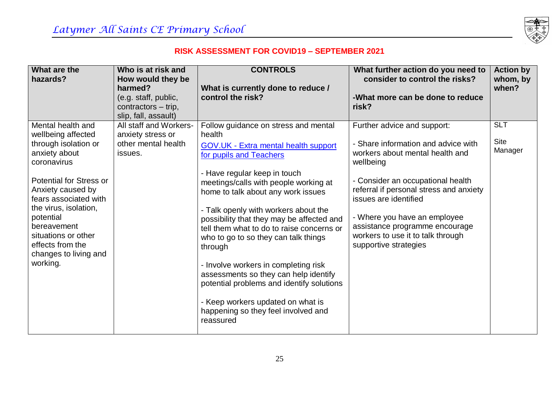

| What are the<br>hazards?                                                                                                                                                                                                                                                                                      | Who is at risk and<br>How would they be<br>harmed?<br>(e.g. staff, public,<br>contractors - trip,<br>slip, fall, assault) | <b>CONTROLS</b><br>What is currently done to reduce /<br>control the risk?                                                                                                                                                                                                                                                                                                                                                                                                                                                                                                                                                                   | What further action do you need to<br>consider to control the risks?<br>-What more can be done to reduce<br>risk?                                                                                                                                                                                                                                           | <b>Action by</b><br>whom, by<br>when? |
|---------------------------------------------------------------------------------------------------------------------------------------------------------------------------------------------------------------------------------------------------------------------------------------------------------------|---------------------------------------------------------------------------------------------------------------------------|----------------------------------------------------------------------------------------------------------------------------------------------------------------------------------------------------------------------------------------------------------------------------------------------------------------------------------------------------------------------------------------------------------------------------------------------------------------------------------------------------------------------------------------------------------------------------------------------------------------------------------------------|-------------------------------------------------------------------------------------------------------------------------------------------------------------------------------------------------------------------------------------------------------------------------------------------------------------------------------------------------------------|---------------------------------------|
| Mental health and<br>wellbeing affected<br>through isolation or<br>anxiety about<br>coronavirus<br>Potential for Stress or<br>Anxiety caused by<br>fears associated with<br>the virus, isolation,<br>potential<br>bereavement<br>situations or other<br>effects from the<br>changes to living and<br>working. | All staff and Workers-<br>anxiety stress or<br>other mental health<br>issues.                                             | Follow guidance on stress and mental<br>health<br>GOV.UK - Extra mental health support<br>for pupils and Teachers<br>- Have regular keep in touch<br>meetings/calls with people working at<br>home to talk about any work issues<br>- Talk openly with workers about the<br>possibility that they may be affected and<br>tell them what to do to raise concerns or<br>who to go to so they can talk things<br>through<br>- Involve workers in completing risk<br>assessments so they can help identify<br>potential problems and identify solutions<br>- Keep workers updated on what is<br>happening so they feel involved and<br>reassured | Further advice and support:<br>- Share information and advice with<br>workers about mental health and<br>wellbeing<br>- Consider an occupational health<br>referral if personal stress and anxiety<br>issues are identified<br>- Where you have an employee<br>assistance programme encourage<br>workers to use it to talk through<br>supportive strategies | <b>SLT</b><br><b>Site</b><br>Manager  |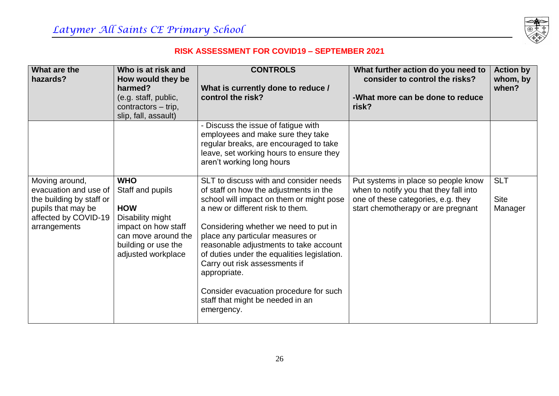

| What are the<br>hazards?                                                                                                          | Who is at risk and<br>How would they be<br>harmed?<br>(e.g. staff, public,<br>contractors – trip,<br>slip, fall, assault)                                   | <b>CONTROLS</b><br>What is currently done to reduce /<br>control the risk?                                                                                                                                                                                                                                                                                                                                                                                                          | What further action do you need to<br>consider to control the risks?<br>-What more can be done to reduce<br>risk?                                         | <b>Action by</b><br>whom, by<br>when? |
|-----------------------------------------------------------------------------------------------------------------------------------|-------------------------------------------------------------------------------------------------------------------------------------------------------------|-------------------------------------------------------------------------------------------------------------------------------------------------------------------------------------------------------------------------------------------------------------------------------------------------------------------------------------------------------------------------------------------------------------------------------------------------------------------------------------|-----------------------------------------------------------------------------------------------------------------------------------------------------------|---------------------------------------|
|                                                                                                                                   |                                                                                                                                                             | - Discuss the issue of fatigue with<br>employees and make sure they take<br>regular breaks, are encouraged to take<br>leave, set working hours to ensure they<br>aren't working long hours                                                                                                                                                                                                                                                                                          |                                                                                                                                                           |                                       |
| Moving around,<br>evacuation and use of<br>the building by staff or<br>pupils that may be<br>affected by COVID-19<br>arrangements | <b>WHO</b><br>Staff and pupils<br><b>HOW</b><br>Disability might<br>impact on how staff<br>can move around the<br>building or use the<br>adjusted workplace | SLT to discuss with and consider needs<br>of staff on how the adjustments in the<br>school will impact on them or might pose<br>a new or different risk to them.<br>Considering whether we need to put in<br>place any particular measures or<br>reasonable adjustments to take account<br>of duties under the equalities legislation.<br>Carry out risk assessments if<br>appropriate.<br>Consider evacuation procedure for such<br>staff that might be needed in an<br>emergency. | Put systems in place so people know<br>when to notify you that they fall into<br>one of these categories, e.g. they<br>start chemotherapy or are pregnant | <b>SLT</b><br><b>Site</b><br>Manager  |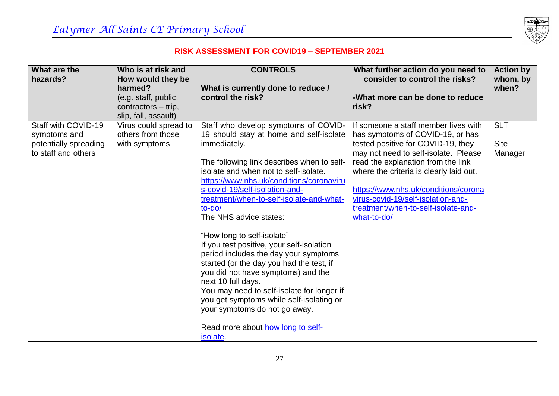

| What are the          | Who is at risk and           | <b>CONTROLS</b>                                    | What further action do you need to                 | <b>Action by</b>  |
|-----------------------|------------------------------|----------------------------------------------------|----------------------------------------------------|-------------------|
| hazards?              | How would they be<br>harmed? | What is currently done to reduce /                 | consider to control the risks?                     | whom, by<br>when? |
|                       | (e.g. staff, public,         | control the risk?                                  | -What more can be done to reduce                   |                   |
|                       | contractors - trip,          |                                                    | risk?                                              |                   |
|                       | slip, fall, assault)         |                                                    |                                                    |                   |
| Staff with COVID-19   | Virus could spread to        | Staff who develop symptoms of COVID-               | If someone a staff member lives with               | <b>SLT</b>        |
| symptoms and          | others from those            | 19 should stay at home and self-isolate            | has symptoms of COVID-19, or has                   |                   |
| potentially spreading | with symptoms                | immediately.                                       | tested positive for COVID-19, they                 | <b>Site</b>       |
| to staff and others   |                              |                                                    | may not need to self-isolate. Please               | Manager           |
|                       |                              | The following link describes when to self-         | read the explanation from the link                 |                   |
|                       |                              | isolate and when not to self-isolate.              | where the criteria is clearly laid out.            |                   |
|                       |                              | https://www.nhs.uk/conditions/coronaviru           |                                                    |                   |
|                       |                              | s-covid-19/self-isolation-and-                     | https://www.nhs.uk/conditions/corona               |                   |
|                       |                              | treatment/when-to-self-isolate-and-what-<br>to-do/ | virus-covid-19/self-isolation-and-                 |                   |
|                       |                              | The NHS advice states:                             | treatment/when-to-self-isolate-and-<br>what-to-do/ |                   |
|                       |                              |                                                    |                                                    |                   |
|                       |                              | "How long to self-isolate"                         |                                                    |                   |
|                       |                              | If you test positive, your self-isolation          |                                                    |                   |
|                       |                              | period includes the day your symptoms              |                                                    |                   |
|                       |                              | started (or the day you had the test, if           |                                                    |                   |
|                       |                              | you did not have symptoms) and the                 |                                                    |                   |
|                       |                              | next 10 full days.                                 |                                                    |                   |
|                       |                              | You may need to self-isolate for longer if         |                                                    |                   |
|                       |                              | you get symptoms while self-isolating or           |                                                    |                   |
|                       |                              | your symptoms do not go away.                      |                                                    |                   |
|                       |                              |                                                    |                                                    |                   |
|                       |                              | Read more about how long to self-                  |                                                    |                   |
|                       |                              | isolate.                                           |                                                    |                   |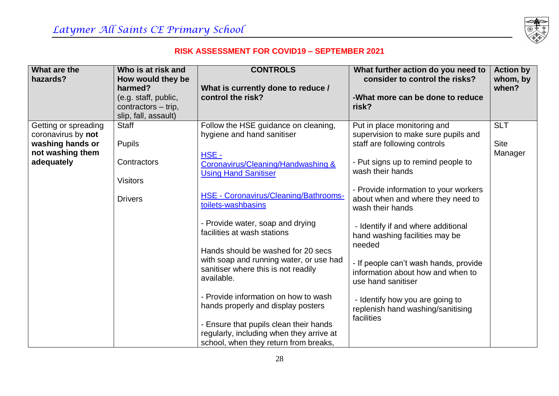

| What are the<br>hazards?               | Who is at risk and<br>How would they be | <b>CONTROLS</b>                                                                                                                                                                                           | What further action do you need to<br>consider to control the risks?                                     | <b>Action by</b><br>whom, by |
|----------------------------------------|-----------------------------------------|-----------------------------------------------------------------------------------------------------------------------------------------------------------------------------------------------------------|----------------------------------------------------------------------------------------------------------|------------------------------|
|                                        | harmed?<br>(e.g. staff, public,         | What is currently done to reduce /<br>control the risk?                                                                                                                                                   | -What more can be done to reduce                                                                         | when?                        |
|                                        | contractors - trip,                     |                                                                                                                                                                                                           | risk?                                                                                                    |                              |
|                                        | slip, fall, assault)                    |                                                                                                                                                                                                           |                                                                                                          |                              |
| Getting or spreading                   | <b>Staff</b>                            | Follow the HSE guidance on cleaning,                                                                                                                                                                      | Put in place monitoring and                                                                              | <b>SLT</b>                   |
| coronavirus by not<br>washing hands or | <b>Pupils</b>                           | hygiene and hand sanitiser                                                                                                                                                                                | supervision to make sure pupils and<br>staff are following controls                                      | <b>Site</b>                  |
| not washing them                       |                                         |                                                                                                                                                                                                           |                                                                                                          | Manager                      |
| adequately                             | Contractors                             | $HSE -$<br>Coronavirus/Cleaning/Handwashing &                                                                                                                                                             | - Put signs up to remind people to                                                                       |                              |
|                                        | <b>Visitors</b>                         | <b>Using Hand Sanitiser</b>                                                                                                                                                                               | wash their hands                                                                                         |                              |
|                                        | <b>Drivers</b>                          | HSE - Coronavirus/Cleaning/Bathrooms-<br>toilets-washbasins                                                                                                                                               | - Provide information to your workers<br>about when and where they need to<br>wash their hands           |                              |
|                                        |                                         | - Provide water, soap and drying<br>facilities at wash stations                                                                                                                                           | - Identify if and where additional<br>hand washing facilities may be<br>needed                           |                              |
|                                        |                                         | Hands should be washed for 20 secs<br>with soap and running water, or use had<br>sanitiser where this is not readily<br>available.                                                                        | - If people can't wash hands, provide<br>information about how and when to                               |                              |
|                                        |                                         | - Provide information on how to wash<br>hands properly and display posters<br>- Ensure that pupils clean their hands<br>regularly, including when they arrive at<br>school, when they return from breaks, | use hand sanitiser<br>- Identify how you are going to<br>replenish hand washing/sanitising<br>facilities |                              |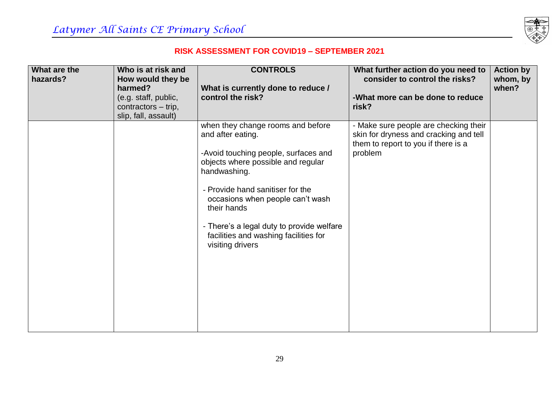

| What are the | Who is at risk and           | <b>CONTROLS</b>                                                                                                                                                                                                                                                                                                                                       | What further action do you need to                                                                                                | <b>Action by</b>  |
|--------------|------------------------------|-------------------------------------------------------------------------------------------------------------------------------------------------------------------------------------------------------------------------------------------------------------------------------------------------------------------------------------------------------|-----------------------------------------------------------------------------------------------------------------------------------|-------------------|
| hazards?     | How would they be<br>harmed? |                                                                                                                                                                                                                                                                                                                                                       | consider to control the risks?                                                                                                    | whom, by<br>when? |
|              | (e.g. staff, public,         | What is currently done to reduce /<br>control the risk?                                                                                                                                                                                                                                                                                               | -What more can be done to reduce                                                                                                  |                   |
|              | contractors – trip,          |                                                                                                                                                                                                                                                                                                                                                       | risk?                                                                                                                             |                   |
|              | slip, fall, assault)         |                                                                                                                                                                                                                                                                                                                                                       |                                                                                                                                   |                   |
|              |                              | when they change rooms and before<br>and after eating.<br>-Avoid touching people, surfaces and<br>objects where possible and regular<br>handwashing.<br>- Provide hand sanitiser for the<br>occasions when people can't wash<br>their hands<br>- There's a legal duty to provide welfare<br>facilities and washing facilities for<br>visiting drivers | - Make sure people are checking their<br>skin for dryness and cracking and tell<br>them to report to you if there is a<br>problem |                   |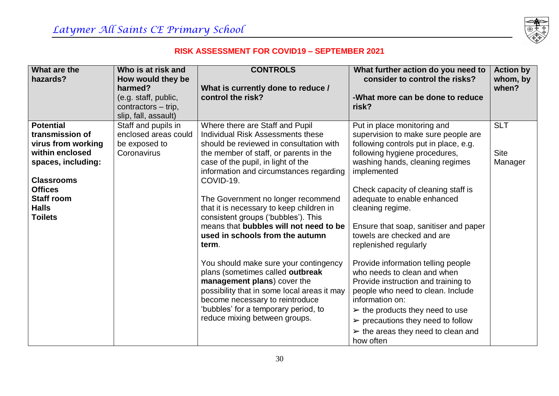

| What are the<br>hazards?              | Who is at risk and<br>How would they be                | <b>CONTROLS</b>                                                                   | What further action do you need to<br>consider to control the risks?   | <b>Action by</b><br>whom, by |
|---------------------------------------|--------------------------------------------------------|-----------------------------------------------------------------------------------|------------------------------------------------------------------------|------------------------------|
|                                       | harmed?<br>(e.g. staff, public,<br>contractors - trip, | What is currently done to reduce /<br>control the risk?                           | -What more can be done to reduce<br>risk?                              | when?                        |
|                                       | slip, fall, assault)                                   |                                                                                   |                                                                        |                              |
| <b>Potential</b>                      | Staff and pupils in                                    | Where there are Staff and Pupil                                                   | Put in place monitoring and                                            | <b>SLT</b>                   |
| transmission of                       | enclosed areas could                                   | Individual Risk Assessments these                                                 | supervision to make sure people are                                    |                              |
| virus from working<br>within enclosed | be exposed to<br>Coronavirus                           | should be reviewed in consultation with<br>the member of staff, or parents in the | following controls put in place, e.g.<br>following hygiene procedures, | <b>Site</b>                  |
| spaces, including:                    |                                                        | case of the pupil, in light of the                                                | washing hands, cleaning regimes                                        | Manager                      |
|                                       |                                                        | information and circumstances regarding                                           | implemented                                                            |                              |
| <b>Classrooms</b>                     |                                                        | COVID-19.                                                                         |                                                                        |                              |
| <b>Offices</b><br><b>Staff room</b>   |                                                        |                                                                                   | Check capacity of cleaning staff is                                    |                              |
| <b>Halls</b>                          |                                                        | The Government no longer recommend<br>that it is necessary to keep children in    | adequate to enable enhanced<br>cleaning regime.                        |                              |
| <b>Toilets</b>                        |                                                        | consistent groups ('bubbles'). This                                               |                                                                        |                              |
|                                       |                                                        | means that bubbles will not need to be                                            | Ensure that soap, sanitiser and paper                                  |                              |
|                                       |                                                        | used in schools from the autumn                                                   | towels are checked and are                                             |                              |
|                                       |                                                        | term.                                                                             | replenished regularly                                                  |                              |
|                                       |                                                        | You should make sure your contingency                                             | Provide information telling people                                     |                              |
|                                       |                                                        | plans (sometimes called outbreak                                                  | who needs to clean and when                                            |                              |
|                                       |                                                        | management plans) cover the                                                       | Provide instruction and training to                                    |                              |
|                                       |                                                        | possibility that in some local areas it may<br>become necessary to reintroduce    | people who need to clean. Include<br>information on:                   |                              |
|                                       |                                                        | 'bubbles' for a temporary period, to                                              | $\triangleright$ the products they need to use                         |                              |
|                                       |                                                        | reduce mixing between groups.                                                     | $\triangleright$ precautions they need to follow                       |                              |
|                                       |                                                        |                                                                                   | $\triangleright$ the areas they need to clean and                      |                              |
|                                       |                                                        |                                                                                   | how often                                                              |                              |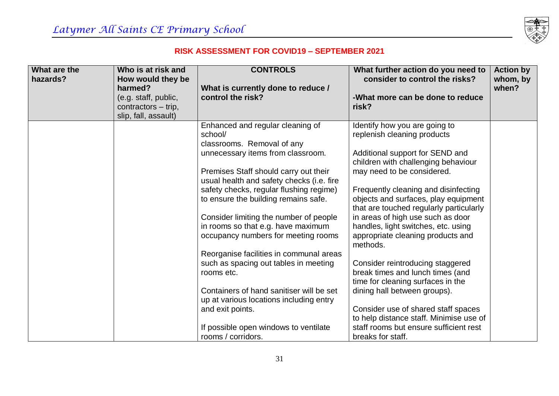

| What are the | Who is at risk and           | <b>CONTROLS</b>                           | What further action do you need to      | <b>Action by</b>  |
|--------------|------------------------------|-------------------------------------------|-----------------------------------------|-------------------|
| hazards?     | How would they be<br>harmed? | What is currently done to reduce /        | consider to control the risks?          | whom, by<br>when? |
|              | (e.g. staff, public,         | control the risk?                         | -What more can be done to reduce        |                   |
|              | contractors – trip,          |                                           | risk?                                   |                   |
|              | slip, fall, assault)         |                                           |                                         |                   |
|              |                              | Enhanced and regular cleaning of          | Identify how you are going to           |                   |
|              |                              | school/                                   | replenish cleaning products             |                   |
|              |                              | classrooms. Removal of any                |                                         |                   |
|              |                              | unnecessary items from classroom.         | Additional support for SEND and         |                   |
|              |                              |                                           | children with challenging behaviour     |                   |
|              |                              | Premises Staff should carry out their     | may need to be considered.              |                   |
|              |                              | usual health and safety checks (i.e. fire |                                         |                   |
|              |                              | safety checks, regular flushing regime)   | Frequently cleaning and disinfecting    |                   |
|              |                              | to ensure the building remains safe.      | objects and surfaces, play equipment    |                   |
|              |                              |                                           | that are touched regularly particularly |                   |
|              |                              | Consider limiting the number of people    | in areas of high use such as door       |                   |
|              |                              | in rooms so that e.g. have maximum        | handles, light switches, etc. using     |                   |
|              |                              | occupancy numbers for meeting rooms       | appropriate cleaning products and       |                   |
|              |                              |                                           | methods.                                |                   |
|              |                              | Reorganise facilities in communal areas   |                                         |                   |
|              |                              | such as spacing out tables in meeting     | Consider reintroducing staggered        |                   |
|              |                              | rooms etc.                                | break times and lunch times (and        |                   |
|              |                              |                                           | time for cleaning surfaces in the       |                   |
|              |                              | Containers of hand sanitiser will be set  | dining hall between groups).            |                   |
|              |                              | up at various locations including entry   |                                         |                   |
|              |                              | and exit points.                          | Consider use of shared staff spaces     |                   |
|              |                              |                                           | to help distance staff. Minimise use of |                   |
|              |                              | If possible open windows to ventilate     | staff rooms but ensure sufficient rest  |                   |
|              |                              | rooms / corridors.                        | breaks for staff.                       |                   |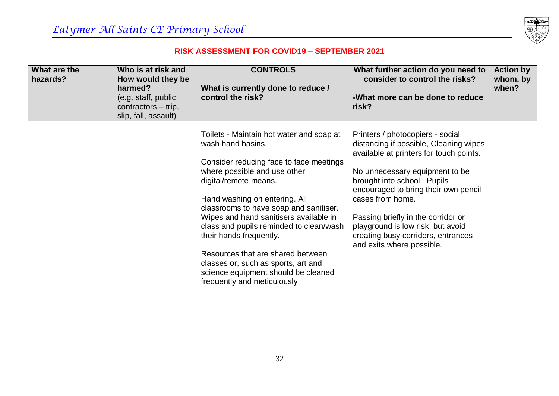

| What are the<br>hazards? | Who is at risk and<br>How would they be<br>harmed?<br>(e.g. staff, public,<br>contractors – trip,<br>slip, fall, assault) | <b>CONTROLS</b><br>What is currently done to reduce /<br>control the risk?                                                                                                                                                                                                                                                                                                                                                                                                                                     | What further action do you need to<br>consider to control the risks?<br>-What more can be done to reduce<br>risk?                                                                                                                                                                                                                                                                                | <b>Action by</b><br>whom, by<br>when? |
|--------------------------|---------------------------------------------------------------------------------------------------------------------------|----------------------------------------------------------------------------------------------------------------------------------------------------------------------------------------------------------------------------------------------------------------------------------------------------------------------------------------------------------------------------------------------------------------------------------------------------------------------------------------------------------------|--------------------------------------------------------------------------------------------------------------------------------------------------------------------------------------------------------------------------------------------------------------------------------------------------------------------------------------------------------------------------------------------------|---------------------------------------|
|                          |                                                                                                                           | Toilets - Maintain hot water and soap at<br>wash hand basins.<br>Consider reducing face to face meetings<br>where possible and use other<br>digital/remote means.<br>Hand washing on entering. All<br>classrooms to have soap and sanitiser.<br>Wipes and hand sanitisers available in<br>class and pupils reminded to clean/wash<br>their hands frequently.<br>Resources that are shared between<br>classes or, such as sports, art and<br>science equipment should be cleaned<br>frequently and meticulously | Printers / photocopiers - social<br>distancing if possible, Cleaning wipes<br>available at printers for touch points.<br>No unnecessary equipment to be<br>brought into school. Pupils<br>encouraged to bring their own pencil<br>cases from home.<br>Passing briefly in the corridor or<br>playground is low risk, but avoid<br>creating busy corridors, entrances<br>and exits where possible. |                                       |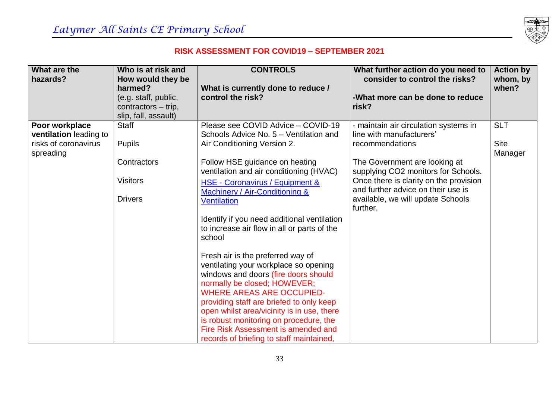

| What are the           | Who is at risk and           | <b>CONTROLS</b>                                                      | What further action do you need to     | <b>Action by</b>  |
|------------------------|------------------------------|----------------------------------------------------------------------|----------------------------------------|-------------------|
| hazards?               | How would they be<br>harmed? | What is currently done to reduce /                                   | consider to control the risks?         | whom, by<br>when? |
|                        | (e.g. staff, public,         | control the risk?                                                    | -What more can be done to reduce       |                   |
|                        | contractors - trip,          |                                                                      | risk?                                  |                   |
|                        | slip, fall, assault)         |                                                                      |                                        |                   |
| Poor workplace         | <b>Staff</b>                 | Please see COVID Advice - COVID-19                                   | - maintain air circulation systems in  | <b>SLT</b>        |
| ventilation leading to |                              | Schools Advice No. 5 - Ventilation and                               | line with manufacturers'               |                   |
| risks of coronavirus   | <b>Pupils</b>                | Air Conditioning Version 2.                                          | recommendations                        | <b>Site</b>       |
| spreading              | Contractors                  | Follow HSE guidance on heating                                       | The Government are looking at          | Manager           |
|                        |                              | ventilation and air conditioning (HVAC)                              | supplying CO2 monitors for Schools.    |                   |
|                        | <b>Visitors</b>              | HSE - Coronavirus / Equipment &                                      | Once there is clarity on the provision |                   |
|                        |                              | Machinery / Air-Conditioning &                                       | and further advice on their use is     |                   |
|                        | <b>Drivers</b>               | <b>Ventilation</b>                                                   | available, we will update Schools      |                   |
|                        |                              |                                                                      | further.                               |                   |
|                        |                              | Identify if you need additional ventilation                          |                                        |                   |
|                        |                              | to increase air flow in all or parts of the                          |                                        |                   |
|                        |                              | school                                                               |                                        |                   |
|                        |                              |                                                                      |                                        |                   |
|                        |                              | Fresh air is the preferred way of                                    |                                        |                   |
|                        |                              | ventilating your workplace so opening                                |                                        |                   |
|                        |                              | windows and doors (fire doors should<br>normally be closed; HOWEVER; |                                        |                   |
|                        |                              | <b>WHERE AREAS ARE OCCUPIED-</b>                                     |                                        |                   |
|                        |                              | providing staff are briefed to only keep                             |                                        |                   |
|                        |                              | open whilst area/vicinity is in use, there                           |                                        |                   |
|                        |                              | is robust monitoring on procedure, the                               |                                        |                   |
|                        |                              | Fire Risk Assessment is amended and                                  |                                        |                   |
|                        |                              | records of briefing to staff maintained,                             |                                        |                   |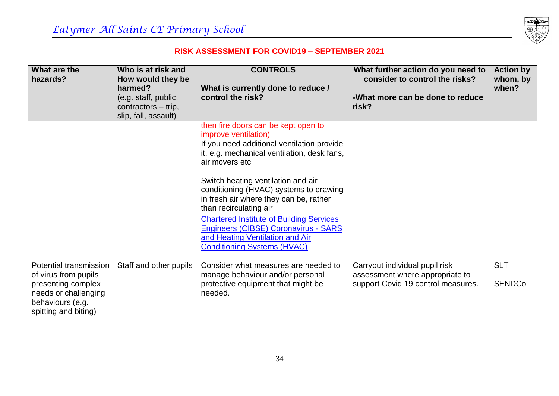

| What are the<br>hazards?                                                                                                                 | Who is at risk and<br>How would they be<br>harmed?<br>(e.g. staff, public,<br>contractors – trip,<br>slip, fall, assault) | <b>CONTROLS</b><br>What is currently done to reduce /<br>control the risk?                                                                                                                                                                                                                                                                                                                                                                                                                         | What further action do you need to<br>consider to control the risks?<br>-What more can be done to reduce<br>risk? | <b>Action by</b><br>whom, by<br>when? |
|------------------------------------------------------------------------------------------------------------------------------------------|---------------------------------------------------------------------------------------------------------------------------|----------------------------------------------------------------------------------------------------------------------------------------------------------------------------------------------------------------------------------------------------------------------------------------------------------------------------------------------------------------------------------------------------------------------------------------------------------------------------------------------------|-------------------------------------------------------------------------------------------------------------------|---------------------------------------|
|                                                                                                                                          |                                                                                                                           | then fire doors can be kept open to<br>improve ventilation)<br>If you need additional ventilation provide<br>it, e.g. mechanical ventilation, desk fans,<br>air movers etc<br>Switch heating ventilation and air<br>conditioning (HVAC) systems to drawing<br>in fresh air where they can be, rather<br>than recirculating air<br><b>Chartered Institute of Building Services</b><br>Engineers (CIBSE) Coronavirus - SARS<br>and Heating Ventilation and Air<br><b>Conditioning Systems (HVAC)</b> |                                                                                                                   |                                       |
| Potential transmission<br>of virus from pupils<br>presenting complex<br>needs or challenging<br>behaviours (e.g.<br>spitting and biting) | Staff and other pupils                                                                                                    | Consider what measures are needed to<br>manage behaviour and/or personal<br>protective equipment that might be<br>needed.                                                                                                                                                                                                                                                                                                                                                                          | Carryout individual pupil risk<br>assessment where appropriate to<br>support Covid 19 control measures.           | <b>SLT</b><br><b>SENDCo</b>           |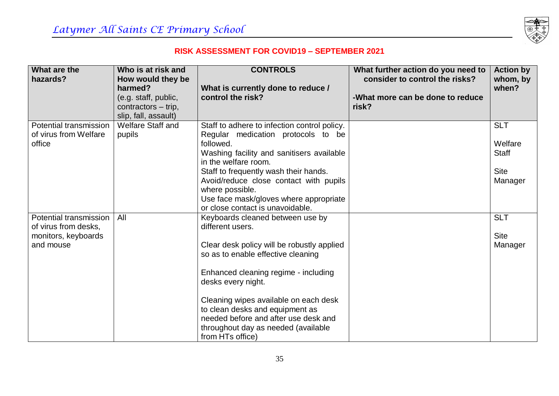

| What are the<br>hazards?                                                           | Who is at risk and<br>How would they be<br>harmed?<br>(e.g. staff, public,<br>contractors - trip,<br>slip, fall, assault) | <b>CONTROLS</b><br>What is currently done to reduce /<br>control the risk?                                                                                                                                                                                                                                                                                                            | What further action do you need to<br>consider to control the risks?<br>-What more can be done to reduce<br>risk? | <b>Action by</b><br>whom, by<br>when?                           |
|------------------------------------------------------------------------------------|---------------------------------------------------------------------------------------------------------------------------|---------------------------------------------------------------------------------------------------------------------------------------------------------------------------------------------------------------------------------------------------------------------------------------------------------------------------------------------------------------------------------------|-------------------------------------------------------------------------------------------------------------------|-----------------------------------------------------------------|
| Potential transmission<br>of virus from Welfare<br>office                          | <b>Welfare Staff and</b><br>pupils                                                                                        | Staff to adhere to infection control policy.<br>Regular medication protocols to be<br>followed.<br>Washing facility and sanitisers available<br>in the welfare room.<br>Staff to frequently wash their hands.<br>Avoid/reduce close contact with pupils<br>where possible.<br>Use face mask/gloves where appropriate<br>or close contact is unavoidable.                              |                                                                                                                   | <b>SLT</b><br>Welfare<br><b>Staff</b><br><b>Site</b><br>Manager |
| Potential transmission<br>of virus from desks,<br>monitors, keyboards<br>and mouse | All                                                                                                                       | Keyboards cleaned between use by<br>different users.<br>Clear desk policy will be robustly applied<br>so as to enable effective cleaning<br>Enhanced cleaning regime - including<br>desks every night.<br>Cleaning wipes available on each desk<br>to clean desks and equipment as<br>needed before and after use desk and<br>throughout day as needed (available<br>from HTs office) |                                                                                                                   | <b>SLT</b><br><b>Site</b><br>Manager                            |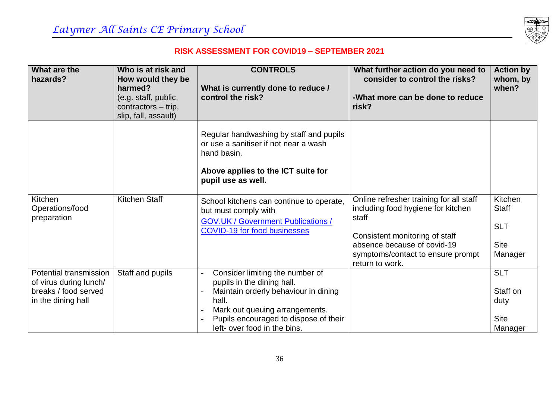

| What are the<br>hazards?                                                                       | Who is at risk and<br>How would they be<br>harmed?<br>(e.g. staff, public,<br>contractors - trip,<br>slip, fall, assault) | <b>CONTROLS</b><br>What is currently done to reduce /<br>control the risk?                                                                                                                                                | What further action do you need to<br>consider to control the risks?<br>-What more can be done to reduce<br>risk?                                                                                               | <b>Action by</b><br>whom, by<br>when?                           |
|------------------------------------------------------------------------------------------------|---------------------------------------------------------------------------------------------------------------------------|---------------------------------------------------------------------------------------------------------------------------------------------------------------------------------------------------------------------------|-----------------------------------------------------------------------------------------------------------------------------------------------------------------------------------------------------------------|-----------------------------------------------------------------|
|                                                                                                |                                                                                                                           | Regular handwashing by staff and pupils<br>or use a sanitiser if not near a wash<br>hand basin.<br>Above applies to the ICT suite for<br>pupil use as well.                                                               |                                                                                                                                                                                                                 |                                                                 |
| Kitchen<br>Operations/food<br>preparation                                                      | <b>Kitchen Staff</b>                                                                                                      | School kitchens can continue to operate,<br>but must comply with<br><b>GOV.UK / Government Publications /</b><br><b>COVID-19 for food businesses</b>                                                                      | Online refresher training for all staff<br>including food hygiene for kitchen<br>staff<br>Consistent monitoring of staff<br>absence because of covid-19<br>symptoms/contact to ensure prompt<br>return to work. | Kitchen<br><b>Staff</b><br><b>SLT</b><br><b>Site</b><br>Manager |
| Potential transmission<br>of virus during lunch/<br>breaks / food served<br>in the dining hall | Staff and pupils                                                                                                          | Consider limiting the number of<br>pupils in the dining hall.<br>Maintain orderly behaviour in dining<br>hall.<br>Mark out queuing arrangements.<br>Pupils encouraged to dispose of their<br>left- over food in the bins. |                                                                                                                                                                                                                 | <b>SLT</b><br>Staff on<br>duty<br><b>Site</b><br>Manager        |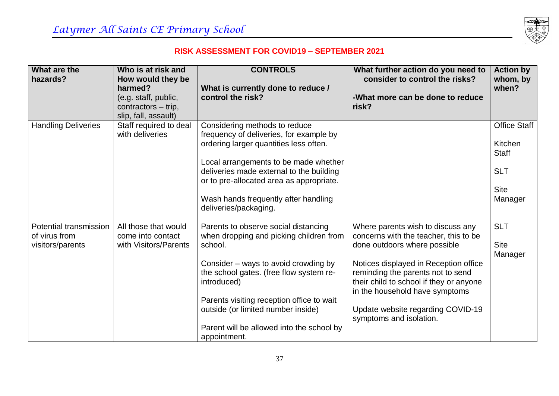

| What are the<br>hazards?      | Who is at risk and<br>How would they be     | <b>CONTROLS</b>                           | What further action do you need to<br>consider to control the risks? | <b>Action by</b><br>whom, by |
|-------------------------------|---------------------------------------------|-------------------------------------------|----------------------------------------------------------------------|------------------------------|
|                               | harmed?                                     | What is currently done to reduce /        |                                                                      | when?                        |
|                               | (e.g. staff, public,<br>contractors – trip, | control the risk?                         | -What more can be done to reduce<br>risk?                            |                              |
|                               | slip, fall, assault)                        |                                           |                                                                      |                              |
| <b>Handling Deliveries</b>    | Staff required to deal                      | Considering methods to reduce             |                                                                      | <b>Office Staff</b>          |
|                               | with deliveries                             | frequency of deliveries, for example by   |                                                                      |                              |
|                               |                                             | ordering larger quantities less often.    |                                                                      | Kitchen                      |
|                               |                                             |                                           |                                                                      | <b>Staff</b>                 |
|                               |                                             | Local arrangements to be made whether     |                                                                      |                              |
|                               |                                             | deliveries made external to the building  |                                                                      | <b>SLT</b>                   |
|                               |                                             | or to pre-allocated area as appropriate.  |                                                                      | <b>Site</b>                  |
|                               |                                             | Wash hands frequently after handling      |                                                                      | Manager                      |
|                               |                                             | deliveries/packaging.                     |                                                                      |                              |
|                               |                                             |                                           |                                                                      |                              |
| <b>Potential transmission</b> | All those that would                        | Parents to observe social distancing      | Where parents wish to discuss any                                    | <b>SLT</b>                   |
| of virus from                 | come into contact                           | when dropping and picking children from   | concerns with the teacher, this to be                                |                              |
| visitors/parents              | with Visitors/Parents                       | school.                                   | done outdoors where possible                                         | <b>Site</b>                  |
|                               |                                             |                                           |                                                                      | Manager                      |
|                               |                                             | Consider – ways to avoid crowding by      | Notices displayed in Reception office                                |                              |
|                               |                                             | the school gates. (free flow system re-   | reminding the parents not to send                                    |                              |
|                               |                                             | introduced)                               | their child to school if they or anyone                              |                              |
|                               |                                             |                                           | in the household have symptoms                                       |                              |
|                               |                                             | Parents visiting reception office to wait |                                                                      |                              |
|                               |                                             | outside (or limited number inside)        | Update website regarding COVID-19<br>symptoms and isolation.         |                              |
|                               |                                             | Parent will be allowed into the school by |                                                                      |                              |
|                               |                                             | appointment.                              |                                                                      |                              |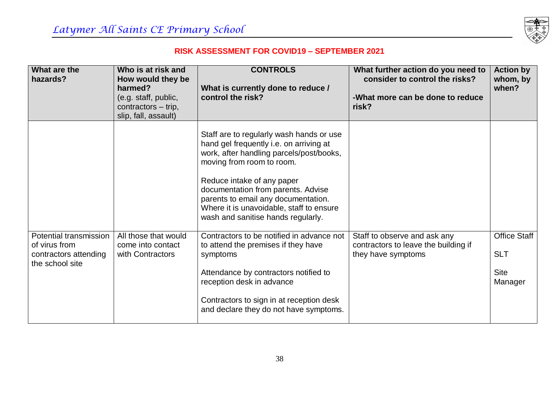

| What are the<br>hazards?                                                            | Who is at risk and<br>How would they be<br>harmed?<br>(e.g. staff, public,<br>contractors – trip,<br>slip, fall, assault) | <b>CONTROLS</b><br>What is currently done to reduce /<br>control the risk?                                                                                                                                                                                                                                                                                | What further action do you need to<br>consider to control the risks?<br>-What more can be done to reduce<br>risk? | <b>Action by</b><br>whom, by<br>when?                       |
|-------------------------------------------------------------------------------------|---------------------------------------------------------------------------------------------------------------------------|-----------------------------------------------------------------------------------------------------------------------------------------------------------------------------------------------------------------------------------------------------------------------------------------------------------------------------------------------------------|-------------------------------------------------------------------------------------------------------------------|-------------------------------------------------------------|
|                                                                                     |                                                                                                                           | Staff are to regularly wash hands or use<br>hand gel frequently i.e. on arriving at<br>work, after handling parcels/post/books,<br>moving from room to room.<br>Reduce intake of any paper<br>documentation from parents. Advise<br>parents to email any documentation.<br>Where it is unavoidable, staff to ensure<br>wash and sanitise hands regularly. |                                                                                                                   |                                                             |
| Potential transmission<br>of virus from<br>contractors attending<br>the school site | All those that would<br>come into contact<br>with Contractors                                                             | Contractors to be notified in advance not<br>to attend the premises if they have<br>symptoms<br>Attendance by contractors notified to<br>reception desk in advance<br>Contractors to sign in at reception desk<br>and declare they do not have symptoms.                                                                                                  | Staff to observe and ask any<br>contractors to leave the building if<br>they have symptoms                        | <b>Office Staff</b><br><b>SLT</b><br><b>Site</b><br>Manager |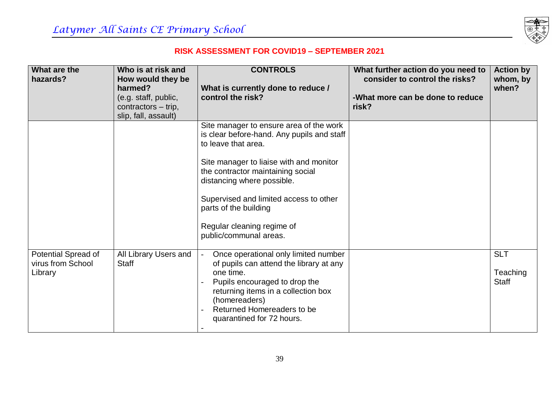

| What are the<br>hazards?                            | Who is at risk and<br>How would they be<br>harmed?<br>(e.g. staff, public, | <b>CONTROLS</b><br>What is currently done to reduce /<br>control the risk?                                                                                                                                                                                                                                                                            | What further action do you need to<br>consider to control the risks?<br>-What more can be done to reduce | <b>Action by</b><br>whom, by<br>when?  |
|-----------------------------------------------------|----------------------------------------------------------------------------|-------------------------------------------------------------------------------------------------------------------------------------------------------------------------------------------------------------------------------------------------------------------------------------------------------------------------------------------------------|----------------------------------------------------------------------------------------------------------|----------------------------------------|
|                                                     | contractors - trip,<br>slip, fall, assault)                                |                                                                                                                                                                                                                                                                                                                                                       | risk?                                                                                                    |                                        |
|                                                     |                                                                            | Site manager to ensure area of the work<br>is clear before-hand. Any pupils and staff<br>to leave that area.<br>Site manager to liaise with and monitor<br>the contractor maintaining social<br>distancing where possible.<br>Supervised and limited access to other<br>parts of the building<br>Regular cleaning regime of<br>public/communal areas. |                                                                                                          |                                        |
| Potential Spread of<br>virus from School<br>Library | All Library Users and<br><b>Staff</b>                                      | Once operational only limited number<br>of pupils can attend the library at any<br>one time.<br>Pupils encouraged to drop the<br>returning items in a collection box<br>(homereaders)<br>Returned Homereaders to be<br>quarantined for 72 hours.                                                                                                      |                                                                                                          | <b>SLT</b><br>Teaching<br><b>Staff</b> |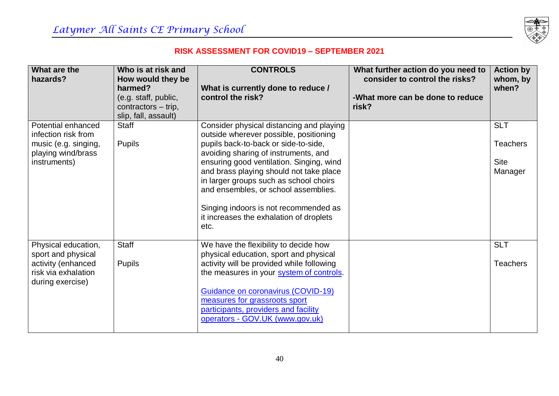

| What are the<br>hazards?                                          | Who is at risk and<br>How would they be<br>harmed?                  | <b>CONTROLS</b>                                                                                                                                                       | What further action do you need to<br>consider to control the risks? | <b>Action by</b><br>whom, by<br>when? |
|-------------------------------------------------------------------|---------------------------------------------------------------------|-----------------------------------------------------------------------------------------------------------------------------------------------------------------------|----------------------------------------------------------------------|---------------------------------------|
|                                                                   | (e.g. staff, public,<br>contractors - trip,<br>slip, fall, assault) | What is currently done to reduce /<br>control the risk?                                                                                                               | -What more can be done to reduce<br>risk?                            |                                       |
| Potential enhanced<br>infection risk from<br>music (e.g. singing, | <b>Staff</b><br><b>Pupils</b>                                       | Consider physical distancing and playing<br>outside wherever possible, positioning<br>pupils back-to-back or side-to-side,<br>avoiding sharing of instruments, and    |                                                                      | <b>SLT</b><br><b>Teachers</b>         |
| playing wind/brass<br>instruments)                                |                                                                     | ensuring good ventilation. Singing, wind<br>and brass playing should not take place<br>in larger groups such as school choirs<br>and ensembles, or school assemblies. |                                                                      | <b>Site</b><br>Manager                |
|                                                                   |                                                                     | Singing indoors is not recommended as<br>it increases the exhalation of droplets<br>etc.                                                                              |                                                                      |                                       |
| Physical education,<br>sport and physical                         | <b>Staff</b>                                                        | We have the flexibility to decide how<br>physical education, sport and physical                                                                                       |                                                                      | <b>SLT</b>                            |
| activity (enhanced<br>risk via exhalation<br>during exercise)     | <b>Pupils</b>                                                       | activity will be provided while following<br>the measures in your system of controls.                                                                                 |                                                                      | <b>Teachers</b>                       |
|                                                                   |                                                                     | Guidance on coronavirus (COVID-19)<br>measures for grassroots sport<br>participants, providers and facility<br>operators - GOV.UK (www.gov.uk)                        |                                                                      |                                       |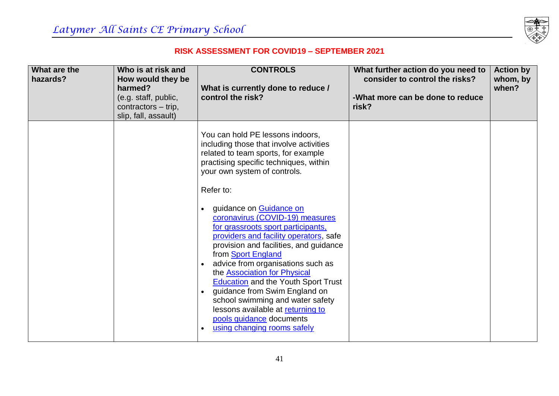

| What are the<br>hazards? | Who is at risk and<br>How would they be<br>harmed?<br>(e.g. staff, public,<br>contractors - trip,<br>slip, fall, assault) | <b>CONTROLS</b><br>What is currently done to reduce /<br>control the risk?                                                                                                                                                                                                                                                                                                                                                                                                                                      | What further action do you need to<br>consider to control the risks?<br>-What more can be done to reduce<br>risk? | <b>Action by</b><br>whom, by<br>when? |
|--------------------------|---------------------------------------------------------------------------------------------------------------------------|-----------------------------------------------------------------------------------------------------------------------------------------------------------------------------------------------------------------------------------------------------------------------------------------------------------------------------------------------------------------------------------------------------------------------------------------------------------------------------------------------------------------|-------------------------------------------------------------------------------------------------------------------|---------------------------------------|
|                          |                                                                                                                           | You can hold PE lessons indoors,<br>including those that involve activities<br>related to team sports, for example<br>practising specific techniques, within<br>your own system of controls.                                                                                                                                                                                                                                                                                                                    |                                                                                                                   |                                       |
|                          |                                                                                                                           | Refer to:<br>guidance on Guidance on<br>coronavirus (COVID-19) measures<br>for grassroots sport participants,<br>providers and facility operators, safe<br>provision and facilities, and guidance<br>from Sport England<br>advice from organisations such as<br>the Association for Physical<br><b>Education</b> and the Youth Sport Trust<br>guidance from Swim England on<br>school swimming and water safety<br>lessons available at returning to<br>pools guidance documents<br>using changing rooms safely |                                                                                                                   |                                       |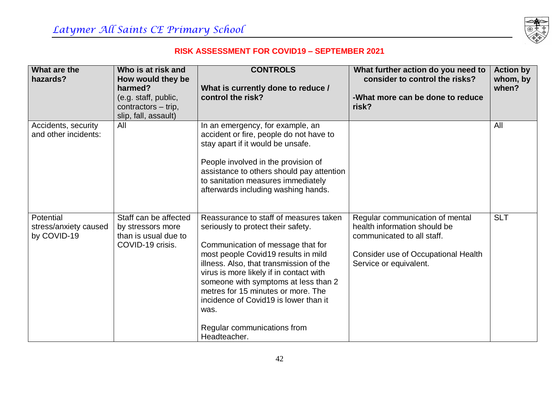

| What are the<br>hazards?                          | Who is at risk and<br>How would they be<br>harmed?                                     | <b>CONTROLS</b><br>What is currently done to reduce /                                                                                                                                                                                                                                                                                                                                                                        | What further action do you need to<br>consider to control the risks?                                                                                           | <b>Action by</b><br>whom, by<br>when? |
|---------------------------------------------------|----------------------------------------------------------------------------------------|------------------------------------------------------------------------------------------------------------------------------------------------------------------------------------------------------------------------------------------------------------------------------------------------------------------------------------------------------------------------------------------------------------------------------|----------------------------------------------------------------------------------------------------------------------------------------------------------------|---------------------------------------|
|                                                   | (e.g. staff, public,<br>contractors - trip,<br>slip, fall, assault)                    | control the risk?                                                                                                                                                                                                                                                                                                                                                                                                            | -What more can be done to reduce<br>risk?                                                                                                                      |                                       |
| Accidents, security<br>and other incidents:       | All                                                                                    | In an emergency, for example, an<br>accident or fire, people do not have to<br>stay apart if it would be unsafe.<br>People involved in the provision of<br>assistance to others should pay attention<br>to sanitation measures immediately<br>afterwards including washing hands.                                                                                                                                            |                                                                                                                                                                | All                                   |
| Potential<br>stress/anxiety caused<br>by COVID-19 | Staff can be affected<br>by stressors more<br>than is usual due to<br>COVID-19 crisis. | Reassurance to staff of measures taken<br>seriously to protect their safety.<br>Communication of message that for<br>most people Covid19 results in mild<br>illness. Also, that transmission of the<br>virus is more likely if in contact with<br>someone with symptoms at less than 2<br>metres for 15 minutes or more. The<br>incidence of Covid19 is lower than it<br>was.<br>Regular communications from<br>Headteacher. | Regular communication of mental<br>health information should be<br>communicated to all staff.<br>Consider use of Occupational Health<br>Service or equivalent. | <b>SLT</b>                            |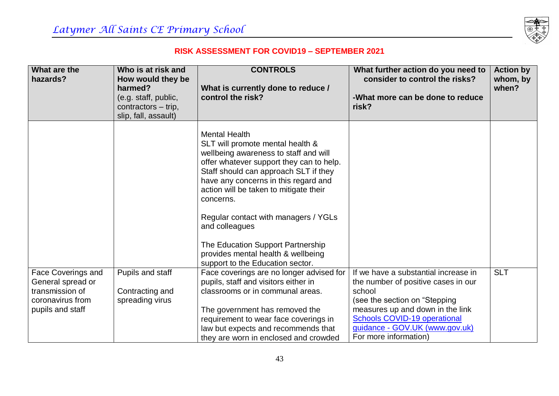

| What are the<br>hazards?                | Who is at risk and<br>How would they be<br>harmed?<br>(e.g. staff, public,<br>contractors - trip,<br>slip, fall, assault) | <b>CONTROLS</b><br>What is currently done to reduce /<br>control the risk?                                                                                                                                                                                                                                                                                                                                                                                     | What further action do you need to<br>consider to control the risks?<br>-What more can be done to reduce<br>risk? | <b>Action by</b><br>whom, by<br>when? |
|-----------------------------------------|---------------------------------------------------------------------------------------------------------------------------|----------------------------------------------------------------------------------------------------------------------------------------------------------------------------------------------------------------------------------------------------------------------------------------------------------------------------------------------------------------------------------------------------------------------------------------------------------------|-------------------------------------------------------------------------------------------------------------------|---------------------------------------|
|                                         |                                                                                                                           | <b>Mental Health</b><br>SLT will promote mental health &<br>wellbeing awareness to staff and will<br>offer whatever support they can to help.<br>Staff should can approach SLT if they<br>have any concerns in this regard and<br>action will be taken to mitigate their<br>concerns.<br>Regular contact with managers / YGLs<br>and colleagues<br>The Education Support Partnership<br>provides mental health & wellbeing<br>support to the Education sector. |                                                                                                                   |                                       |
| Face Coverings and<br>General spread or | Pupils and staff                                                                                                          | Face coverings are no longer advised for<br>pupils, staff and visitors either in                                                                                                                                                                                                                                                                                                                                                                               | If we have a substantial increase in<br>the number of positive cases in our                                       | <b>SLT</b>                            |
| transmission of<br>coronavirus from     | Contracting and<br>spreading virus                                                                                        | classrooms or in communal areas.                                                                                                                                                                                                                                                                                                                                                                                                                               | school<br>(see the section on "Stepping                                                                           |                                       |
| pupils and staff                        |                                                                                                                           | The government has removed the                                                                                                                                                                                                                                                                                                                                                                                                                                 | measures up and down in the link                                                                                  |                                       |
|                                         |                                                                                                                           | requirement to wear face coverings in                                                                                                                                                                                                                                                                                                                                                                                                                          | <b>Schools COVID-19 operational</b>                                                                               |                                       |
|                                         |                                                                                                                           | law but expects and recommends that                                                                                                                                                                                                                                                                                                                                                                                                                            | guidance - GOV.UK (www.gov.uk)                                                                                    |                                       |
|                                         |                                                                                                                           | they are worn in enclosed and crowded                                                                                                                                                                                                                                                                                                                                                                                                                          | For more information)                                                                                             |                                       |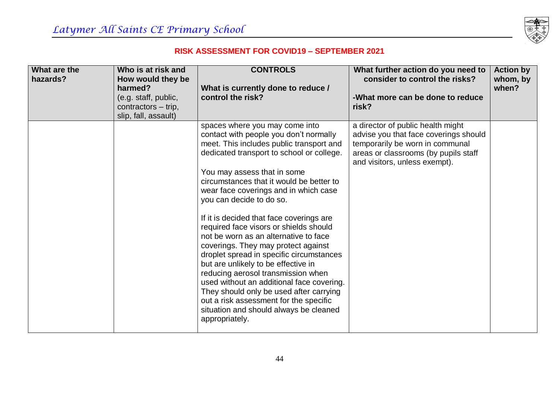

| What are the<br>hazards? | Who is at risk and<br>How would they be | <b>CONTROLS</b>                                                                                                                                                                                                                                                                                                                                                                                                                                                                                                                                                                                                                                                                                                                                                                              | What further action do you need to<br>consider to control the risks?                                                                                                                   | <b>Action by</b><br>whom, by |
|--------------------------|-----------------------------------------|----------------------------------------------------------------------------------------------------------------------------------------------------------------------------------------------------------------------------------------------------------------------------------------------------------------------------------------------------------------------------------------------------------------------------------------------------------------------------------------------------------------------------------------------------------------------------------------------------------------------------------------------------------------------------------------------------------------------------------------------------------------------------------------------|----------------------------------------------------------------------------------------------------------------------------------------------------------------------------------------|------------------------------|
|                          | harmed?                                 | What is currently done to reduce /                                                                                                                                                                                                                                                                                                                                                                                                                                                                                                                                                                                                                                                                                                                                                           |                                                                                                                                                                                        | when?                        |
|                          | (e.g. staff, public,                    | control the risk?                                                                                                                                                                                                                                                                                                                                                                                                                                                                                                                                                                                                                                                                                                                                                                            | -What more can be done to reduce                                                                                                                                                       |                              |
|                          | contractors – trip,                     |                                                                                                                                                                                                                                                                                                                                                                                                                                                                                                                                                                                                                                                                                                                                                                                              | risk?                                                                                                                                                                                  |                              |
|                          | slip, fall, assault)                    |                                                                                                                                                                                                                                                                                                                                                                                                                                                                                                                                                                                                                                                                                                                                                                                              |                                                                                                                                                                                        |                              |
|                          |                                         | spaces where you may come into<br>contact with people you don't normally<br>meet. This includes public transport and<br>dedicated transport to school or college.<br>You may assess that in some<br>circumstances that it would be better to<br>wear face coverings and in which case<br>you can decide to do so.<br>If it is decided that face coverings are<br>required face visors or shields should<br>not be worn as an alternative to face<br>coverings. They may protect against<br>droplet spread in specific circumstances<br>but are unlikely to be effective in<br>reducing aerosol transmission when<br>used without an additional face covering.<br>They should only be used after carrying<br>out a risk assessment for the specific<br>situation and should always be cleaned | a director of public health might<br>advise you that face coverings should<br>temporarily be worn in communal<br>areas or classrooms (by pupils staff<br>and visitors, unless exempt). |                              |
|                          |                                         | appropriately.                                                                                                                                                                                                                                                                                                                                                                                                                                                                                                                                                                                                                                                                                                                                                                               |                                                                                                                                                                                        |                              |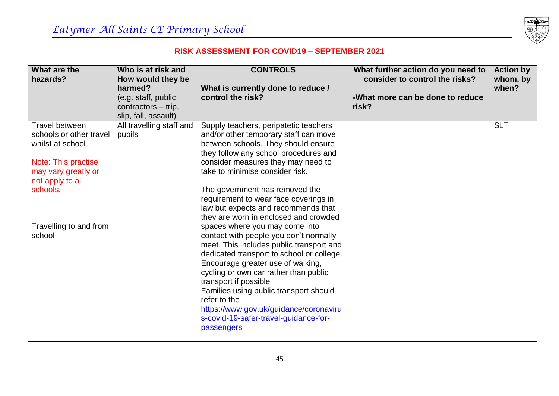

| What are the                     | Who is at risk and           | <b>CONTROLS</b>                                                          | What further action do you need to | <b>Action by</b> |
|----------------------------------|------------------------------|--------------------------------------------------------------------------|------------------------------------|------------------|
| hazards?                         | How would they be<br>harmed? |                                                                          | consider to control the risks?     | whom, by         |
|                                  | (e.g. staff, public,         | What is currently done to reduce /<br>control the risk?                  | -What more can be done to reduce   | when?            |
|                                  | contractors - trip,          |                                                                          | risk?                              |                  |
|                                  | slip, fall, assault)         |                                                                          |                                    |                  |
| Travel between                   | All travelling staff and     | Supply teachers, peripatetic teachers                                    |                                    | <b>SLT</b>       |
| schools or other travel          | pupils                       | and/or other temporary staff can move                                    |                                    |                  |
| whilst at school                 |                              | between schools. They should ensure                                      |                                    |                  |
|                                  |                              | they follow any school procedures and                                    |                                    |                  |
| Note: This practise              |                              | consider measures they may need to                                       |                                    |                  |
| may vary greatly or              |                              | take to minimise consider risk.                                          |                                    |                  |
| not apply to all                 |                              |                                                                          |                                    |                  |
| schools.                         |                              | The government has removed the                                           |                                    |                  |
|                                  |                              | requirement to wear face coverings in                                    |                                    |                  |
|                                  |                              | law but expects and recommends that                                      |                                    |                  |
|                                  |                              | they are worn in enclosed and crowded                                    |                                    |                  |
| Travelling to and from<br>school |                              | spaces where you may come into<br>contact with people you don't normally |                                    |                  |
|                                  |                              | meet. This includes public transport and                                 |                                    |                  |
|                                  |                              | dedicated transport to school or college.                                |                                    |                  |
|                                  |                              | Encourage greater use of walking,                                        |                                    |                  |
|                                  |                              | cycling or own car rather than public                                    |                                    |                  |
|                                  |                              | transport if possible                                                    |                                    |                  |
|                                  |                              | Families using public transport should                                   |                                    |                  |
|                                  |                              | refer to the                                                             |                                    |                  |
|                                  |                              | https://www.gov.uk/guidance/coronaviru                                   |                                    |                  |
|                                  |                              | s-covid-19-safer-travel-guidance-for-                                    |                                    |                  |
|                                  |                              | passengers                                                               |                                    |                  |
|                                  |                              |                                                                          |                                    |                  |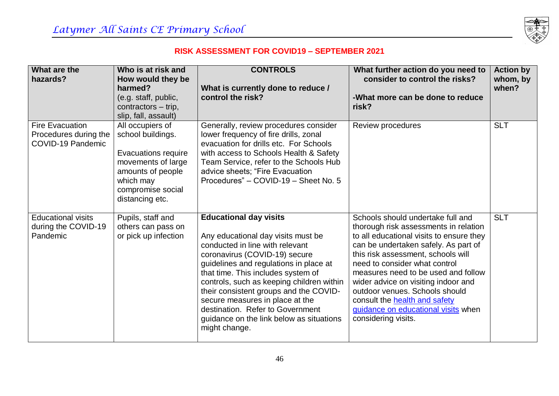

| What are the<br>hazards?                                             | Who is at risk and<br>How would they be<br>harmed?                                                                                                                  | <b>CONTROLS</b><br>What is currently done to reduce /                                                                                                                                                                                                                                                                                                                                                                                              | What further action do you need to<br>consider to control the risks?                                                                                                                                                                                                                                                                                                                                                                                        | <b>Action by</b><br>whom, by<br>when? |
|----------------------------------------------------------------------|---------------------------------------------------------------------------------------------------------------------------------------------------------------------|----------------------------------------------------------------------------------------------------------------------------------------------------------------------------------------------------------------------------------------------------------------------------------------------------------------------------------------------------------------------------------------------------------------------------------------------------|-------------------------------------------------------------------------------------------------------------------------------------------------------------------------------------------------------------------------------------------------------------------------------------------------------------------------------------------------------------------------------------------------------------------------------------------------------------|---------------------------------------|
|                                                                      | (e.g. staff, public,<br>contractors – trip,<br>slip, fall, assault)                                                                                                 | control the risk?                                                                                                                                                                                                                                                                                                                                                                                                                                  | -What more can be done to reduce<br>risk?                                                                                                                                                                                                                                                                                                                                                                                                                   |                                       |
| <b>Fire Evacuation</b><br>Procedures during the<br>COVID-19 Pandemic | All occupiers of<br>school buildings.<br><b>Evacuations require</b><br>movements of large<br>amounts of people<br>which may<br>compromise social<br>distancing etc. | Generally, review procedures consider<br>lower frequency of fire drills, zonal<br>evacuation for drills etc. For Schools<br>with access to Schools Health & Safety<br>Team Service, refer to the Schools Hub<br>advice sheets; "Fire Evacuation<br>Procedures" - COVID-19 - Sheet No. 5                                                                                                                                                            | Review procedures                                                                                                                                                                                                                                                                                                                                                                                                                                           | <b>SLT</b>                            |
| <b>Educational visits</b><br>during the COVID-19<br>Pandemic         | Pupils, staff and<br>others can pass on<br>or pick up infection                                                                                                     | <b>Educational day visits</b><br>Any educational day visits must be<br>conducted in line with relevant<br>coronavirus (COVID-19) secure<br>guidelines and regulations in place at<br>that time. This includes system of<br>controls, such as keeping children within<br>their consistent groups and the COVID-<br>secure measures in place at the<br>destination. Refer to Government<br>guidance on the link below as situations<br>might change. | Schools should undertake full and<br>thorough risk assessments in relation<br>to all educational visits to ensure they<br>can be undertaken safely. As part of<br>this risk assessment, schools will<br>need to consider what control<br>measures need to be used and follow<br>wider advice on visiting indoor and<br>outdoor venues. Schools should<br>consult the <b>health and safety</b><br>guidance on educational visits when<br>considering visits. | <b>SLT</b>                            |